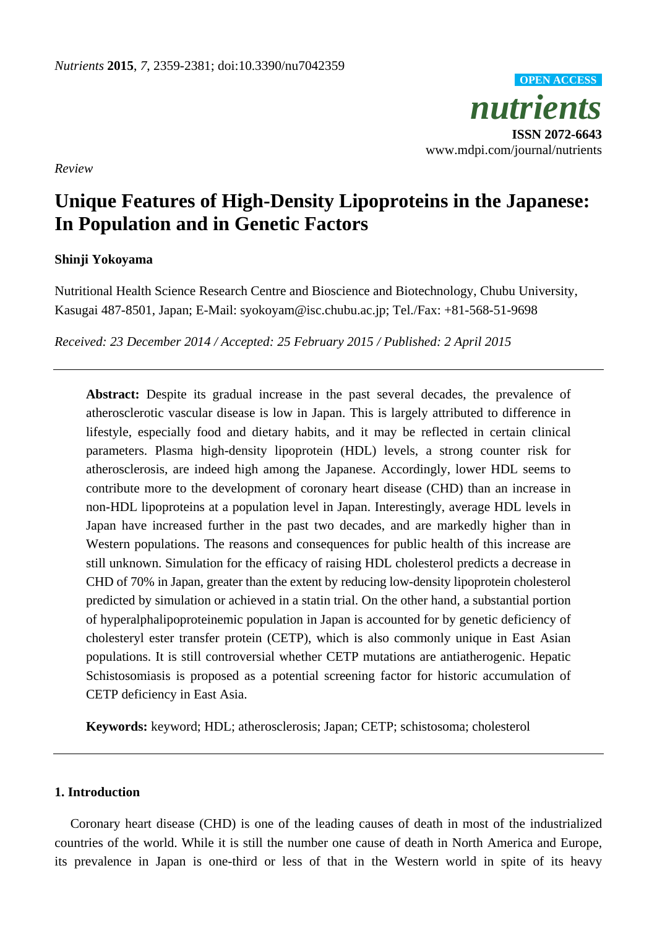*nutrients* **ISSN 2072-6643** www.mdpi.com/journal/nutrients **OPEN ACCESS**

*Review*

# **Unique Features of High-Density Lipoproteins in the Japanese: In Population and in Genetic Factors**

# **Shinji Yokoyama**

Nutritional Health Science Research Centre and Bioscience and Biotechnology, Chubu University, Kasugai 487-8501, Japan; E-Mail: syokoyam@isc.chubu.ac.jp; Tel./Fax: +81-568-51-9698

*Received: 23 December 2014 / Accepted: 25 February 2015 / Published: 2 April 2015*

Abstract: Despite its gradual increase in the past several decades, the prevalence of atherosclerotic vascular disease is low in Japan. This is largely attributed to difference in lifestyle, especially food and dietary habits, and it may be reflected in certain clinical parameters. Plasma high-density lipoprotein (HDL) levels, a strong counter risk for atherosclerosis, are indeed high among the Japanese. Accordingly, lower HDL seems to contribute more to the development of coronary heart disease (CHD) than an increase in non-HDL lipoproteins at a population level in Japan. Interestingly, average HDL levels in Japan have increased further in the past two decades, and are markedly higher than in Western populations. The reasons and consequences for public health of this increase are still unknown. Simulation for the efficacy of raising HDL cholesterol predicts a decrease in CHD of 70% in Japan, greater than the extent by reducing low-density lipoprotein cholesterol predicted by simulation or achieved in a statin trial. On the other hand, a substantial portion of hyperalphalipoproteinemic population in Japan is accounted for by genetic deficiency of cholesteryl ester transfer protein (CETP), which is also commonly unique in East Asian populations. It is still controversial whether CETP mutations are antiatherogenic. Hepatic Schistosomiasis is proposed as a potential screening factor for historic accumulation of CETP deficiency in East Asia.

**Keywords:** keyword; HDL; atherosclerosis; Japan; CETP; schistosoma; cholesterol

## **1. Introduction**

Coronary heart disease (CHD) is one of the leading causes of death in most of the industrialized countries of the world. While it is still the number one cause of death in North America and Europe, its prevalence in Japan is one-third or less of that in the Western world in spite of its heavy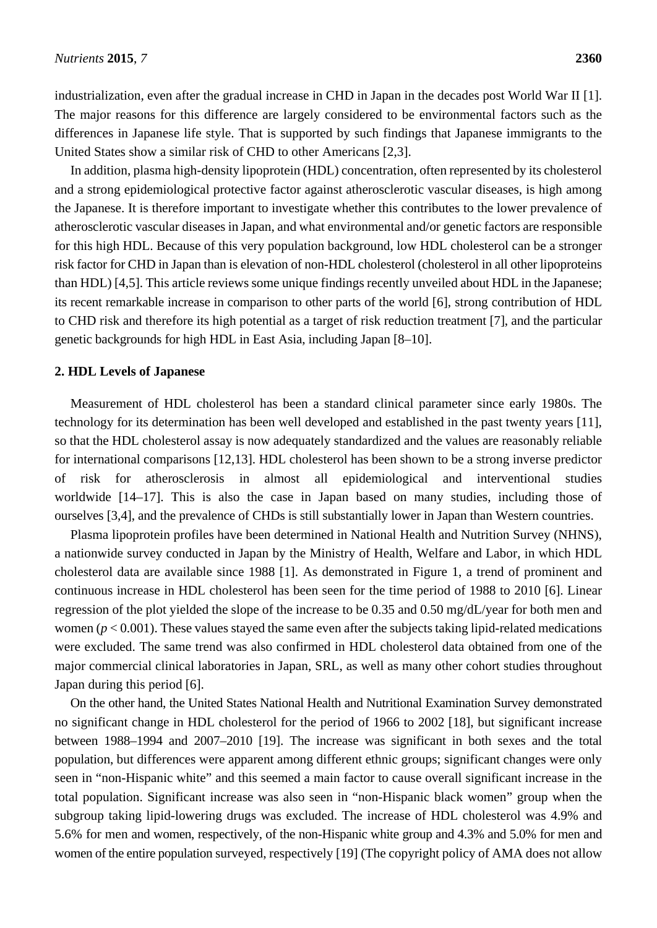industrialization, even after the gradual increase in CHD in Japan in the decades post World War II [1]. The major reasons for this difference are largely considered to be environmental factors such as the differences in Japanese life style. That is supported by such findings that Japanese immigrants to the United States show a similar risk of CHD to other Americans [2,3].

In addition, plasma high-density lipoprotein (HDL) concentration, often represented by its cholesterol and a strong epidemiological protective factor against atherosclerotic vascular diseases, is high among the Japanese. It is therefore important to investigate whether this contributes to the lower prevalence of atherosclerotic vascular diseases in Japan, and what environmental and/or genetic factors are responsible for this high HDL. Because of this very population background, low HDL cholesterol can be a stronger risk factor for CHD in Japan than is elevation of non-HDL cholesterol (cholesterol in all other lipoproteins than HDL) [4,5]. This article reviews some unique findings recently unveiled about HDL in the Japanese; its recent remarkable increase in comparison to other parts of the world [6], strong contribution of HDL to CHD risk and therefore its high potential as a target of risk reduction treatment [7], and the particular genetic backgrounds for high HDL in East Asia, including Japan [8–10].

### **2. HDL Levels of Japanese**

Measurement of HDL cholesterol has been a standard clinical parameter since early 1980s. The technology for its determination has been well developed and established in the past twenty years [11], so that the HDL cholesterol assay is now adequately standardized and the values are reasonably reliable for international comparisons [12,13]. HDL cholesterol has been shown to be a strong inverse predictor of risk for atherosclerosis in almost all epidemiological and interventional studies worldwide [14–17]. This is also the case in Japan based on many studies, including those of ourselves [3,4], and the prevalence of CHDs is still substantially lower in Japan than Western countries.

Plasma lipoprotein profiles have been determined in National Health and Nutrition Survey (NHNS), a nationwide survey conducted in Japan by the Ministry of Health, Welfare and Labor, in which HDL cholesterol data are available since 1988 [1]. As demonstrated in Figure 1, a trend of prominent and continuous increase in HDL cholesterol has been seen for the time period of 1988 to 2010 [6]. Linear regression of the plot yielded the slope of the increase to be 0.35 and 0.50 mg/dL/year for both men and women  $(p < 0.001)$ . These values stayed the same even after the subjects taking lipid-related medications were excluded. The same trend was also confirmed in HDL cholesterol data obtained from one of the major commercial clinical laboratories in Japan, SRL, as well as many other cohort studies throughout Japan during this period [6].

On the other hand, the United States National Health and Nutritional Examination Survey demonstrated no significant change in HDL cholesterol for the period of 1966 to 2002 [18], but significant increase between 1988–1994 and 2007–2010 [19]. The increase was significant in both sexes and the total population, but differences were apparent among different ethnic groups; significant changes were only seen in "non-Hispanic white" and this seemed a main factor to cause overall significant increase in the total population. Significant increase was also seen in "non-Hispanic black women" group when the subgroup taking lipid-lowering drugs was excluded. The increase of HDL cholesterol was 4.9% and 5.6% for men and women, respectively, of the non-Hispanic white group and 4.3% and 5.0% for men and women of the entire population surveyed, respectively [19] (The copyright policy of AMA does not allow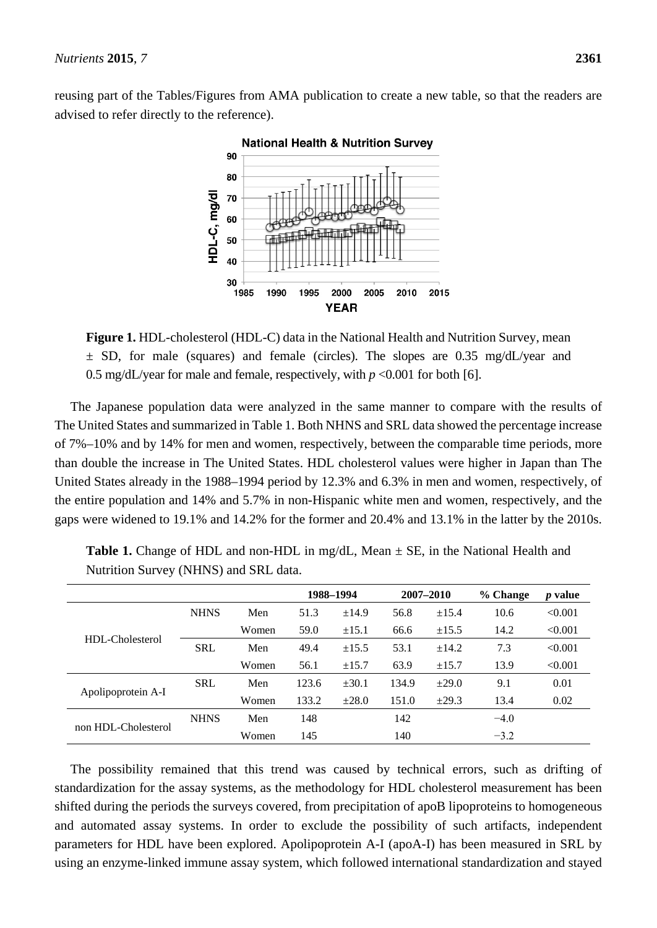reusing part of the Tables/Figures from AMA publication to create a new table, so that the readers are advised to refer directly to the reference).



**Figure 1.** HDL-cholesterol (HDL-C) data in the National Health and Nutrition Survey, mean  $\pm$  SD, for male (squares) and female (circles). The slopes are 0.35 mg/dL/year and 0.5 mg/dL/year for male and female, respectively, with  $p < 0.001$  for both [6].

The Japanese population data were analyzed in the same manner to compare with the results of The United States and summarized in Table 1. Both NHNS and SRL data showed the percentage increase of 7%–10% and by 14% for men and women, respectively, between the comparable time periods, more than double the increase in The United States. HDL cholesterol values were higher in Japan than The United States already in the 1988–1994 period by 12.3% and 6.3% in men and women, respectively, of the entire population and 14% and 5.7% in non-Hispanic white men and women, respectively, and the gaps were widened to 19.1% and 14.2% for the former and 20.4% and 13.1% in the latter by the 2010s.

|                     |             |       | 1988-1994 |            | 2007-2010 |            | % Change | $p$ value |
|---------------------|-------------|-------|-----------|------------|-----------|------------|----------|-----------|
| HDL-Cholesterol     | <b>NHNS</b> | Men   | 51.3      | ±14.9      | 56.8      | $\pm 15.4$ | 10.6     | < 0.001   |
|                     |             | Women | 59.0      | $\pm 15.1$ | 66.6      | ±15.5      | 14.2     | < 0.001   |
|                     | <b>SRL</b>  | Men   | 49.4      | $\pm 15.5$ | 53.1      | $\pm 14.2$ | 7.3      | < 0.001   |
|                     |             | Women | 56.1      | $\pm 15.7$ | 63.9      | $\pm 15.7$ | 13.9     | < 0.001   |
| Apolipoprotein A-I  | <b>SRL</b>  | Men   | 123.6     | ±30.1      | 134.9     | $+29.0$    | 9.1      | 0.01      |
|                     |             | Women | 133.2     | $\pm 28.0$ | 151.0     | $\pm 29.3$ | 13.4     | 0.02      |
|                     | <b>NHNS</b> | Men   | 148       |            | 142       |            | $-4.0$   |           |
| non HDL-Cholesterol |             | Women | 145       |            | 140       |            | $-3.2$   |           |

**Table 1.** Change of HDL and non-HDL in mg/dL, Mean  $\pm$  SE, in the National Health and Nutrition Survey (NHNS) and SRL data.

The possibility remained that this trend was caused by technical errors, such as drifting of standardization for the assay systems, as the methodology for HDL cholesterol measurement has been shifted during the periods the surveys covered, from precipitation of apoB lipoproteins to homogeneous and automated assay systems. In order to exclude the possibility of such artifacts, independent parameters for HDL have been explored. Apolipoprotein A-I (apoA-I) has been measured in SRL by using an enzyme-linked immune assay system, which followed international standardization and stayed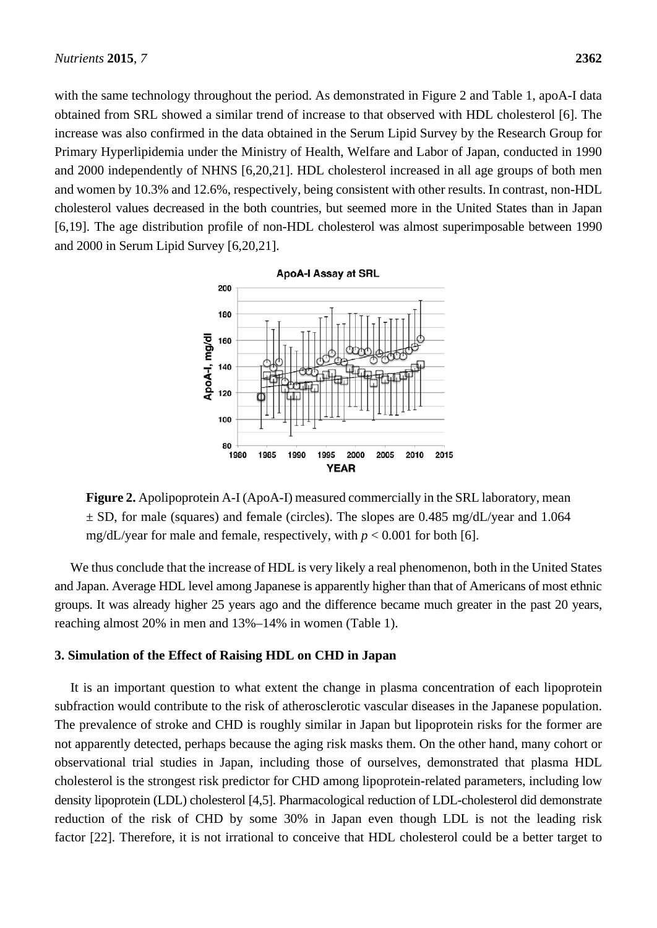with the same technology throughout the period. As demonstrated in Figure 2 and Table 1, apoA-I data obtained from SRL showed a similar trend of increase to that observed with HDL cholesterol [6]. The increase was also confirmed in the data obtained in the Serum Lipid Survey by the Research Group for Primary Hyperlipidemia under the Ministry of Health, Welfare and Labor of Japan, conducted in 1990 and 2000 independently of NHNS [6,20,21]. HDL cholesterol increased in all age groups of both men and women by 10.3% and 12.6%, respectively, being consistent with other results. In contrast, non-HDL cholesterol values decreased in the both countries, but seemed more in the United States than in Japan [6,19]. The age distribution profile of non-HDL cholesterol was almost superimposable between 1990 and 2000 in Serum Lipid Survey [6,20,21].



**Figure 2.** Apolipoprotein A-I (ApoA-I) measured commercially in the SRL laboratory, mean  $\pm$  SD, for male (squares) and female (circles). The slopes are 0.485 mg/dL/year and 1.064 mg/dL/year for male and female, respectively, with  $p < 0.001$  for both [6].

We thus conclude that the increase of HDL is very likely a real phenomenon, both in the United States and Japan. Average HDL level among Japanese is apparently higher than that of Americans of most ethnic groups. It was already higher 25 years ago and the difference became much greater in the past 20 years, reaching almost 20% in men and 13%–14% in women (Table 1).

## **3. Simulation of the Effect of Raising HDL on CHD in Japan**

It is an important question to what extent the change in plasma concentration of each lipoprotein subfraction would contribute to the risk of atherosclerotic vascular diseases in the Japanese population. The prevalence of stroke and CHD is roughly similar in Japan but lipoprotein risks for the former are not apparently detected, perhaps because the aging risk masks them. On the other hand, many cohort or observational trial studies in Japan, including those of ourselves, demonstrated that plasma HDL cholesterol is the strongest risk predictor for CHD among lipoprotein-related parameters, including low density lipoprotein (LDL) cholesterol [4,5]. Pharmacological reduction of LDL-cholesterol did demonstrate reduction of the risk of CHD by some 30% in Japan even though LDL is not the leading risk factor [22]. Therefore, it is not irrational to conceive that HDL cholesterol could be a better target to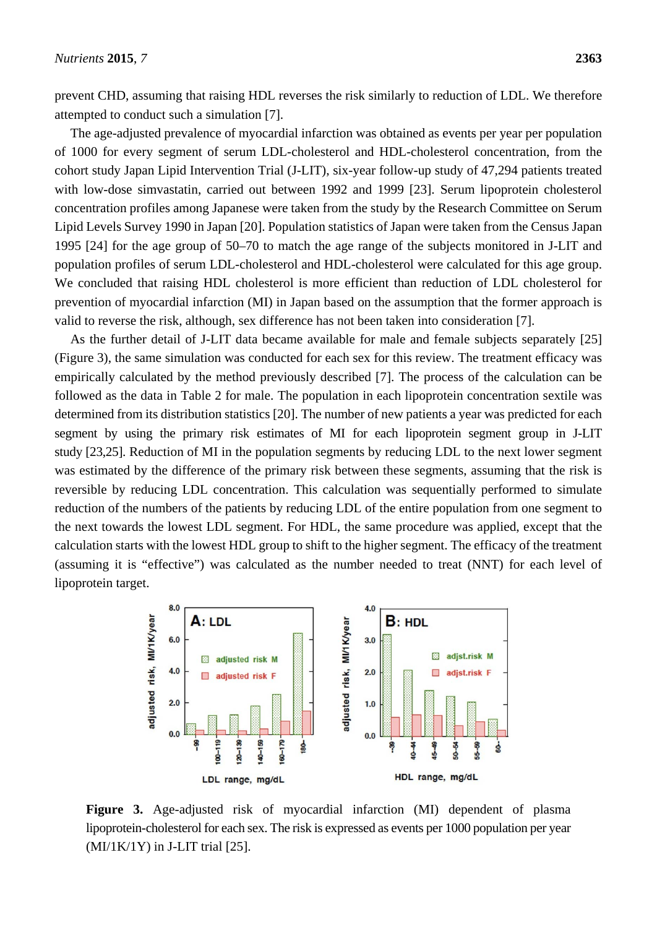prevent CHD, assuming that raising HDL reverses the risk similarly to reduction of LDL. We therefore attempted to conduct such a simulation [7].

The age-adjusted prevalence of myocardial infarction was obtained as events per year per population of 1000 for every segment of serum LDL-cholesterol and HDL-cholesterol concentration, from the cohort study Japan Lipid Intervention Trial (J-LIT), six-year follow-up study of 47,294 patients treated with low-dose simvastatin, carried out between 1992 and 1999 [23]. Serum lipoprotein cholesterol concentration profiles among Japanese were taken from the study by the Research Committee on Serum Lipid Levels Survey 1990 in Japan [20]. Population statistics of Japan were taken from the Census Japan 1995 [24] for the age group of 50–70 to match the age range of the subjects monitored in J-LIT and population profiles of serum LDL-cholesterol and HDL-cholesterol were calculated for this age group. We concluded that raising HDL cholesterol is more efficient than reduction of LDL cholesterol for prevention of myocardial infarction (MI) in Japan based on the assumption that the former approach is valid to reverse the risk, although, sex difference has not been taken into consideration [7].

As the further detail of J-LIT data became available for male and female subjects separately [25] (Figure 3), the same simulation was conducted for each sex for this review. The treatment efficacy was empirically calculated by the method previously described [7]. The process of the calculation can be followed as the data in Table 2 for male. The population in each lipoprotein concentration sextile was determined from its distribution statistics [20]. The number of new patients a year was predicted for each segment by using the primary risk estimates of MI for each lipoprotein segment group in J-LIT study [23,25]. Reduction of MI in the population segments by reducing LDL to the next lower segment was estimated by the difference of the primary risk between these segments, assuming that the risk is reversible by reducing LDL concentration. This calculation was sequentially performed to simulate reduction of the numbers of the patients by reducing LDL of the entire population from one segment to the next towards the lowest LDL segment. For HDL, the same procedure was applied, except that the calculation starts with the lowest HDL group to shift to the higher segment. The efficacy of the treatment (assuming it is "effective") was calculated as the number needed to treat (NNT) for each level of lipoprotein target.



**Figure 3.** Age-adjusted risk of myocardial infarction (MI) dependent of plasma lipoprotein-cholesterol for each sex. The risk is expressed as events per 1000 population per year  $(MI/IK/1Y)$  in J-LIT trial [25].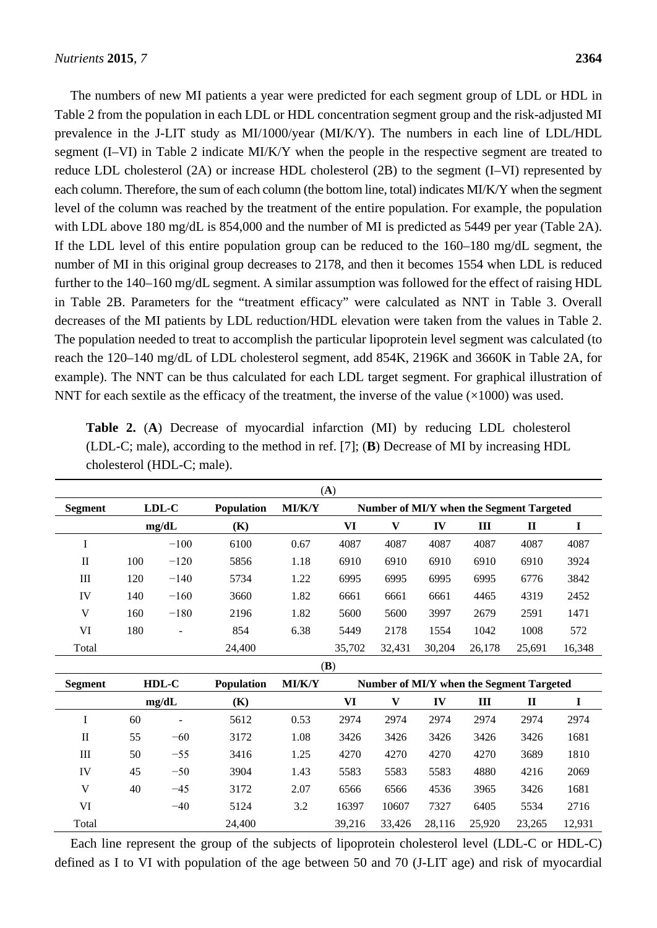The numbers of new MI patients a year were predicted for each segment group of LDL or HDL in Table 2 from the population in each LDL or HDL concentration segment group and the risk-adjusted MI prevalence in the J-LIT study as MI/1000/year (MI/K/Y). The numbers in each line of LDL/HDL segment (I–VI) in Table 2 indicate MI/K/Y when the people in the respective segment are treated to reduce LDL cholesterol (2A) or increase HDL cholesterol (2B) to the segment (I–VI) represented by each column. Therefore, the sum of each column (the bottom line, total) indicates MI/K/Y when the segment level of the column was reached by the treatment of the entire population. For example, the population with LDL above 180 mg/dL is 854,000 and the number of MI is predicted as 5449 per year (Table 2A). If the LDL level of this entire population group can be reduced to the 160–180 mg/dL segment, the number of MI in this original group decreases to 2178, and then it becomes 1554 when LDL is reduced further to the 140–160 mg/dL segment. A similar assumption was followed for the effect of raising HDL in Table 2B. Parameters for the "treatment efficacy" were calculated as NNT in Table 3. Overall decreases of the MI patients by LDL reduction/HDL elevation were taken from the values in Table 2. The population needed to treat to accomplish the particular lipoprotein level segment was calculated (to reach the 120–140 mg/dL of LDL cholesterol segment, add 854K, 2196K and 3660K in Table 2A, for example). The NNT can be thus calculated for each LDL target segment. For graphical illustration of NNT for each sextile as the efficacy of the treatment, the inverse of the value  $(\times 1000)$  was used.

| (A)            |                            |        |                   |                                          |           |        |        |        |                                          |             |
|----------------|----------------------------|--------|-------------------|------------------------------------------|-----------|--------|--------|--------|------------------------------------------|-------------|
| <b>Segment</b> | LDL-C<br><b>Population</b> |        | MI/K/Y            | Number of MI/Y when the Segment Targeted |           |        |        |        |                                          |             |
|                |                            | mg/dL  | (K)               |                                          | VI        | V      | IV     | III    | $\mathbf{I}$                             | $\mathbf I$ |
| I              |                            | $-100$ | 6100              | 0.67                                     | 4087      | 4087   | 4087   | 4087   | 4087                                     | 4087        |
| $\mathbf{I}$   | 100                        | $-120$ | 5856              | 1.18                                     | 6910      | 6910   | 6910   | 6910   | 6910                                     | 3924        |
| Ш              | 120                        | $-140$ | 5734              | 1.22                                     | 6995      | 6995   | 6995   | 6995   | 6776                                     | 3842        |
| IV             | 140                        | $-160$ | 3660              | 1.82                                     | 6661      | 6661   | 6661   | 4465   | 4319                                     | 2452        |
| V              | 160                        | $-180$ | 2196              | 1.82                                     | 5600      | 5600   | 3997   | 2679   | 2591                                     | 1471        |
| VI             | 180                        |        | 854               | 6.38                                     | 5449      | 2178   | 1554   | 1042   | 1008                                     | 572         |
| Total          |                            |        | 24,400            |                                          | 35,702    | 32,431 | 30,204 | 26,178 | 25,691                                   | 16,348      |
|                | (B)                        |        |                   |                                          |           |        |        |        |                                          |             |
| <b>Segment</b> |                            | HDL-C  | <b>Population</b> | MI/K/Y                                   |           |        |        |        | Number of MI/Y when the Segment Targeted |             |
|                |                            | mg/dL  | (K)               |                                          | <b>VI</b> | V      | IV     | III    | $\mathbf{I}$                             | I           |
| I              | 60                         |        | 5612              | 0.53                                     | 2974      | 2974   | 2974   | 2974   | 2974                                     | 2974        |
| $\mathbf{I}$   | 55                         | $-60$  | 3172              | 1.08                                     | 3426      | 3426   | 3426   | 3426   | 3426                                     | 1681        |
| $\rm III$      | 50                         | $-55$  | 3416              | 1.25                                     | 4270      | 4270   | 4270   | 4270   | 3689                                     | 1810        |
| IV             | 45                         | $-50$  | 3904              | 1.43                                     | 5583      | 5583   | 5583   | 4880   | 4216                                     | 2069        |
| V              | 40                         | $-45$  | 3172              | 2.07                                     | 6566      | 6566   | 4536   | 3965   | 3426                                     | 1681        |
| VI             |                            | $-40$  | 5124              | 3.2                                      | 16397     | 10607  | 7327   | 6405   | 5534                                     | 2716        |
| Total          |                            |        | 24,400            |                                          | 39,216    | 33,426 | 28,116 | 25,920 | 23,265                                   | 12,931      |

**Table 2.** (**A**) Decrease of myocardial infarction (MI) by reducing LDL cholesterol (LDL-C; male), according to the method in ref. [7]; (**B**) Decrease of MI by increasing HDL cholesterol (HDL-C; male).

Each line represent the group of the subjects of lipoprotein cholesterol level (LDL-C or HDL-C) defined as I to VI with population of the age between 50 and 70 (J-LIT age) and risk of myocardial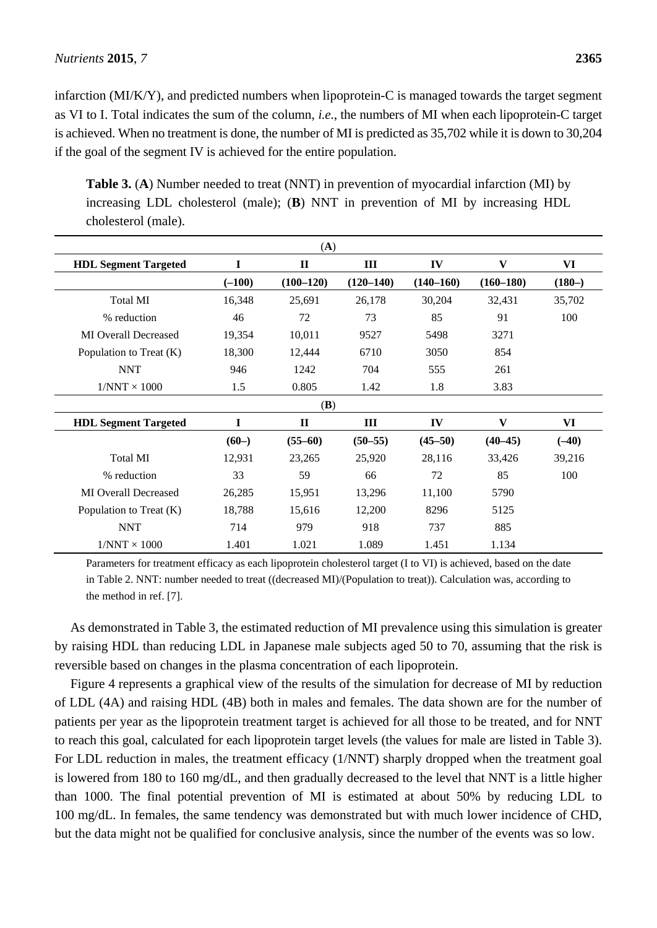infarction (MI/K/Y), and predicted numbers when lipoprotein-C is managed towards the target segment as VI to I. Total indicates the sum of the column, *i.e.*, the numbers of MI when each lipoprotein-C target is achieved. When no treatment is done, the number of MI is predicted as 35,702 while it is down to 30,204 if the goal of the segment IV is achieved for the entire population.

| (A)                         |          |              |             |               |               |          |  |  |
|-----------------------------|----------|--------------|-------------|---------------|---------------|----------|--|--|
| <b>HDL Segment Targeted</b> | I        | $\mathbf{I}$ | III         | IV            | V             | VI       |  |  |
|                             | $(-100)$ | $(100-120)$  | $(120-140)$ | $(140 - 160)$ | $(160 - 180)$ | $(180-)$ |  |  |
| Total MI                    | 16,348   | 25,691       | 26,178      | 30,204        | 32,431        | 35,702   |  |  |
| % reduction                 | 46       | 72           | 73          | 85            | 91            | 100      |  |  |
| <b>MI</b> Overall Decreased | 19,354   | 10,011       | 9527        | 5498          | 3271          |          |  |  |
| Population to Treat (K)     | 18,300   | 12,444       | 6710        | 3050          | 854           |          |  |  |
| <b>NNT</b>                  | 946      | 1242         | 704         | 555           | 261           |          |  |  |
| $1/NNT \times 1000$         | 1.5      | 0.805        | 1.42        | 1.8           | 3.83          |          |  |  |
| (B)                         |          |              |             |               |               |          |  |  |
| <b>HDL Segment Targeted</b> | I        | $\mathbf{I}$ | Ш           | IV            | V             | VI       |  |  |
|                             | $(60-)$  | $(55-60)$    | $(50 - 55)$ | $(45 - 50)$   | $(40-45)$     | $(-40)$  |  |  |
| Total MI                    | 12,931   | 23,265       | 25,920      | 28,116        | 33,426        | 39,216   |  |  |
| % reduction                 | 33       | 59           | 66          | 72            | 85            | 100      |  |  |
| <b>MI Overall Decreased</b> | 26,285   | 15,951       | 13,296      | 11,100        | 5790          |          |  |  |
| Population to Treat (K)     | 18,788   | 15,616       | 12,200      | 8296          | 5125          |          |  |  |
| <b>NNT</b>                  | 714      | 979          | 918         | 737           | 885           |          |  |  |
| $1/NNT \times 1000$         | 1.401    | 1.021        | 1.089       | 1.451         | 1.134         |          |  |  |

**Table 3.** (**A**) Number needed to treat (NNT) in prevention of myocardial infarction (MI) by increasing LDL cholesterol (male); (**B**) NNT in prevention of MI by increasing HDL cholesterol (male).

Parameters for treatment efficacy as each lipoprotein cholesterol target (I to VI) is achieved, based on the date in Table 2. NNT: number needed to treat ((decreased MI)/(Population to treat)). Calculation was, according to the method in ref. [7].

As demonstrated in Table 3, the estimated reduction of MI prevalence using this simulation is greater by raising HDL than reducing LDL in Japanese male subjects aged 50 to 70, assuming that the risk is reversible based on changes in the plasma concentration of each lipoprotein.

Figure 4 represents a graphical view of the results of the simulation for decrease of MI by reduction of LDL (4A) and raising HDL (4B) both in males and females. The data shown are for the number of patients per year as the lipoprotein treatment target is achieved for all those to be treated, and for NNT to reach this goal, calculated for each lipoprotein target levels (the values for male are listed in Table 3). For LDL reduction in males, the treatment efficacy (1/NNT) sharply dropped when the treatment goal is lowered from 180 to 160 mg/dL, and then gradually decreased to the level that NNT is a little higher than 1000. The final potential prevention of MI is estimated at about 50% by reducing LDL to 100 mg/dL. In females, the same tendency was demonstrated but with much lower incidence of CHD, but the data might not be qualified for conclusive analysis, since the number of the events was so low.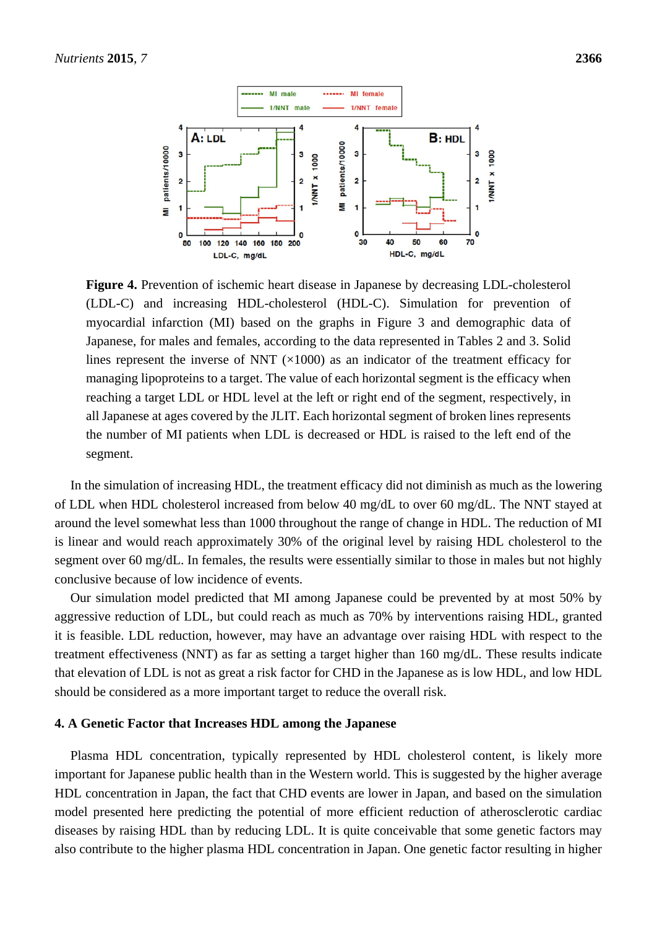

**Figure 4.** Prevention of ischemic heart disease in Japanese by decreasing LDL-cholesterol (LDL-C) and increasing HDL-cholesterol (HDL-C). Simulation for prevention of myocardial infarction (MI) based on the graphs in Figure 3 and demographic data of Japanese, for males and females, according to the data represented in Tables 2 and 3. Solid lines represent the inverse of NNT  $(\times 1000)$  as an indicator of the treatment efficacy for managing lipoproteins to a target. The value of each horizontal segment is the efficacy when reaching a target LDL or HDL level at the left or right end of the segment, respectively, in all Japanese at ages covered by the JLIT. Each horizontal segment of broken lines represents the number of MI patients when LDL is decreased or HDL is raised to the left end of the segment.

In the simulation of increasing HDL, the treatment efficacy did not diminish as much as the lowering of LDL when HDL cholesterol increased from below 40 mg/dL to over 60 mg/dL. The NNT stayed at around the level somewhat less than 1000 throughout the range of change in HDL. The reduction of MI is linear and would reach approximately 30% of the original level by raising HDL cholesterol to the segment over 60 mg/dL. In females, the results were essentially similar to those in males but not highly conclusive because of low incidence of events.

Our simulation model predicted that MI among Japanese could be prevented by at most 50% by aggressive reduction of LDL, but could reach as much as 70% by interventions raising HDL, granted it is feasible. LDL reduction, however, may have an advantage over raising HDL with respect to the treatment effectiveness (NNT) as far as setting a target higher than 160 mg/dL. These results indicate that elevation of LDL is not as great a risk factor for CHD in the Japanese as is low HDL, and low HDL should be considered as a more important target to reduce the overall risk.

#### **4. A Genetic Factor that Increases HDL among the Japanese**

Plasma HDL concentration, typically represented by HDL cholesterol content, is likely more important for Japanese public health than in the Western world. This is suggested by the higher average HDL concentration in Japan, the fact that CHD events are lower in Japan, and based on the simulation model presented here predicting the potential of more efficient reduction of atherosclerotic cardiac diseases by raising HDL than by reducing LDL. It is quite conceivable that some genetic factors may also contribute to the higher plasma HDL concentration in Japan. One genetic factor resulting in higher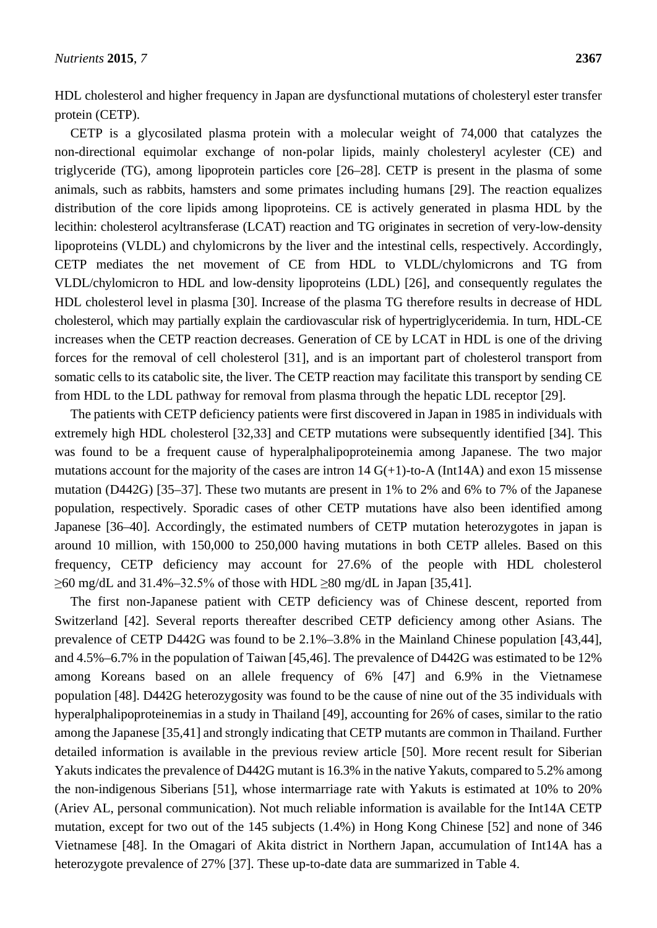HDL cholesterol and higher frequency in Japan are dysfunctional mutations of cholesteryl ester transfer protein (CETP).

CETP is a glycosilated plasma protein with a molecular weight of 74,000 that catalyzes the non-directional equimolar exchange of non-polar lipids, mainly cholesteryl acylester (CE) and triglyceride (TG), among lipoprotein particles core [26–28]. CETP is present in the plasma of some animals, such as rabbits, hamsters and some primates including humans [29]. The reaction equalizes distribution of the core lipids among lipoproteins. CE is actively generated in plasma HDL by the lecithin: cholesterol acyltransferase (LCAT) reaction and TG originates in secretion of very-low-density lipoproteins (VLDL) and chylomicrons by the liver and the intestinal cells, respectively. Accordingly, CETP mediates the net movement of CE from HDL to VLDL/chylomicrons and TG from VLDL/chylomicron to HDL and low-density lipoproteins (LDL) [26], and consequently regulates the HDL cholesterol level in plasma [30]. Increase of the plasma TG therefore results in decrease of HDL cholesterol, which may partially explain the cardiovascular risk of hypertriglyceridemia. In turn, HDL-CE increases when the CETP reaction decreases. Generation of CE by LCAT in HDL is one of the driving forces for the removal of cell cholesterol [31], and is an important part of cholesterol transport from somatic cells to its catabolic site, the liver. The CETP reaction may facilitate this transport by sending CE from HDL to the LDL pathway for removal from plasma through the hepatic LDL receptor [29].

The patients with CETP deficiency patients were first discovered in Japan in 1985 in individuals with extremely high HDL cholesterol [32,33] and CETP mutations were subsequently identified [34]. This was found to be a frequent cause of hyperalphalipoproteinemia among Japanese. The two major mutations account for the majority of the cases are intron  $14 G(+1)$ -to-A (Int14A) and exon 15 missense mutation (D442G) [35–37]. These two mutants are present in 1% to 2% and 6% to 7% of the Japanese population, respectively. Sporadic cases of other CETP mutations have also been identified among Japanese [36–40]. Accordingly, the estimated numbers of CETP mutation heterozygotes in japan is around 10 million, with 150,000 to 250,000 having mutations in both CETP alleles. Based on this frequency, CETP deficiency may account for 27.6% of the people with HDL cholesterol  $\geq$ 60 mg/dL and 31.4%–32.5% of those with HDL  $\geq$ 80 mg/dL in Japan [35,41].

The first non-Japanese patient with CETP deficiency was of Chinese descent, reported from Switzerland [42]. Several reports thereafter described CETP deficiency among other Asians. The prevalence of CETP D442G was found to be 2.1%–3.8% in the Mainland Chinese population [43,44], and 4.5%–6.7% in the population of Taiwan [45,46]. The prevalence of D442G was estimated to be 12% among Koreans based on an allele frequency of 6% [47] and 6.9% in the Vietnamese population [48]. D442G heterozygosity was found to be the cause of nine out of the 35 individuals with hyperalphalipoproteinemias in a study in Thailand [49], accounting for 26% of cases, similar to the ratio among the Japanese [35,41] and strongly indicating that CETP mutants are common in Thailand. Further detailed information is available in the previous review article [50]. More recent result for Siberian Yakuts indicates the prevalence of D442G mutant is 16.3% in the native Yakuts, compared to 5.2% among the non-indigenous Siberians [51], whose intermarriage rate with Yakuts is estimated at 10% to 20% (Ariev AL, personal communication). Not much reliable information is available for the Int14A CETP mutation, except for two out of the 145 subjects (1.4%) in Hong Kong Chinese [52] and none of 346 Vietnamese [48]. In the Omagari of Akita district in Northern Japan, accumulation of Int14A has a heterozygote prevalence of 27% [37]. These up-to-date data are summarized in Table 4.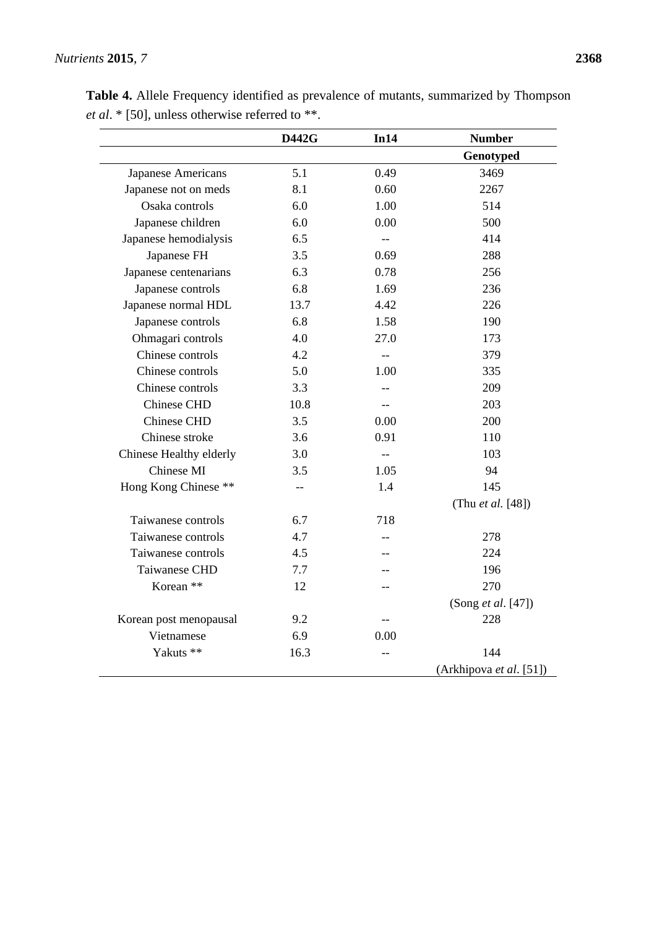|                         | <b>D442G</b> | In14                     | <b>Number</b>           |
|-------------------------|--------------|--------------------------|-------------------------|
|                         |              |                          | Genotyped               |
| Japanese Americans      | 5.1          | 0.49                     | 3469                    |
| Japanese not on meds    | 8.1          | 0.60                     | 2267                    |
| Osaka controls          | 6.0          | 1.00                     | 514                     |
| Japanese children       | 6.0          | 0.00                     | 500                     |
| Japanese hemodialysis   | 6.5          | $\overline{\phantom{a}}$ | 414                     |
| Japanese FH             | 3.5          | 0.69                     | 288                     |
| Japanese centenarians   | 6.3          | 0.78                     | 256                     |
| Japanese controls       | 6.8          | 1.69                     | 236                     |
| Japanese normal HDL     | 13.7         | 4.42                     | 226                     |
| Japanese controls       | 6.8          | 1.58                     | 190                     |
| Ohmagari controls       | 4.0          | 27.0                     | 173                     |
| Chinese controls        | 4.2          | $-$                      | 379                     |
| Chinese controls        | 5.0          | 1.00                     | 335                     |
| Chinese controls        | 3.3          | $-$                      | 209                     |
| Chinese CHD             | 10.8         | $-$                      | 203                     |
| Chinese CHD             | 3.5          | 0.00                     | 200                     |
| Chinese stroke          | 3.6          | 0.91                     | 110                     |
| Chinese Healthy elderly | 3.0          | $-$                      | 103                     |
| Chinese MI              | 3.5          | 1.05                     | 94                      |
| Hong Kong Chinese **    | $-$          | 1.4                      | 145                     |
|                         |              |                          | (Thu et al. [48])       |
| Taiwanese controls      | 6.7          | 718                      |                         |
| Taiwanese controls      | 4.7          |                          | 278                     |
| Taiwanese controls      | 4.5          |                          | 224                     |
| Taiwanese CHD           | 7.7          |                          | 196                     |
| Korean **               | 12           |                          | 270                     |
|                         |              |                          | (Song et al. [47])      |
| Korean post menopausal  | 9.2          |                          | 228                     |
| Vietnamese              | 6.9          | 0.00                     |                         |
| Yakuts **               | 16.3         |                          | 144                     |
|                         |              |                          | (Arkhipova et al. [51]) |

**Table 4.** Allele Frequency identified as prevalence of mutants, summarized by Thompson *et al*. \* [50], unless otherwise referred to \*\*.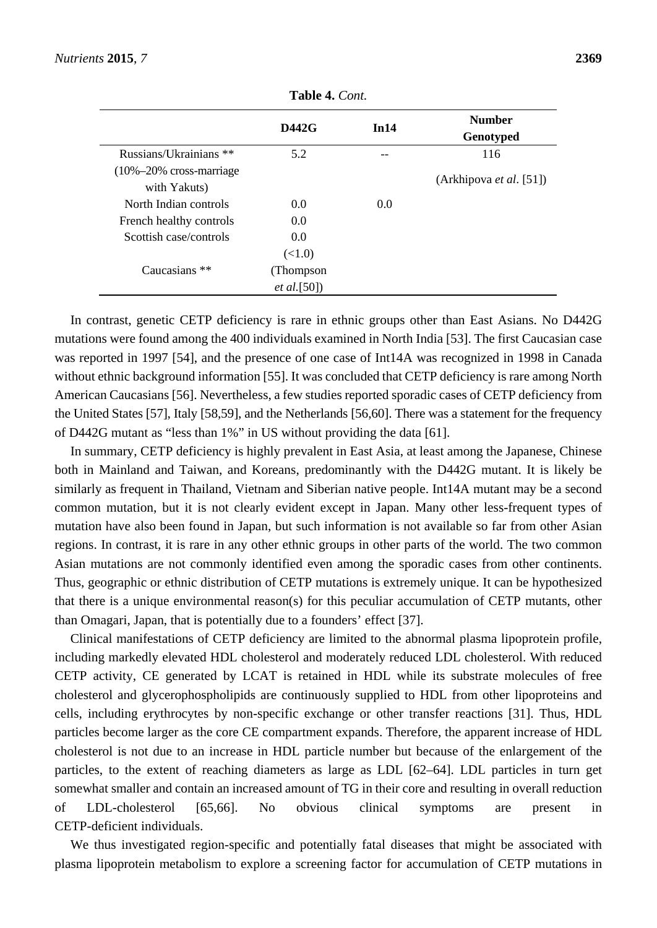|                                                        | <b>D442G</b>        | In14 | <b>Number</b><br>Genotyped |
|--------------------------------------------------------|---------------------|------|----------------------------|
| Russians/Ukrainians **                                 | 5.2                 | --   | 116                        |
| $(10\% - 20\% \text{ cross-marriage})$<br>with Yakuts) |                     |      | (Arkhipova et al. [51])    |
| North Indian controls                                  | 0.0                 | 0.0  |                            |
| French healthy controls                                | 0.0                 |      |                            |
| Scottish case/controls                                 | 0.0                 |      |                            |
|                                                        | (<1.0)              |      |                            |
| Caucasians **                                          | (Thompson)          |      |                            |
|                                                        | <i>et al.</i> [50]) |      |                            |

**Table 4.** *Cont.*

In contrast, genetic CETP deficiency is rare in ethnic groups other than East Asians. No D442G mutations were found among the 400 individuals examined in North India [53]. The first Caucasian case was reported in 1997 [54], and the presence of one case of Int14A was recognized in 1998 in Canada without ethnic background information [55]. It was concluded that CETP deficiency is rare among North American Caucasians [56]. Nevertheless, a few studies reported sporadic cases of CETP deficiency from the United States [57], Italy [58,59], and the Netherlands [56,60]. There was a statement for the frequency of D442G mutant as "less than 1%" in US without providing the data [61].

In summary, CETP deficiency is highly prevalent in East Asia, at least among the Japanese, Chinese both in Mainland and Taiwan, and Koreans, predominantly with the D442G mutant. It is likely be similarly as frequent in Thailand, Vietnam and Siberian native people. Int14A mutant may be a second common mutation, but it is not clearly evident except in Japan. Many other less-frequent types of mutation have also been found in Japan, but such information is not available so far from other Asian regions. In contrast, it is rare in any other ethnic groups in other parts of the world. The two common Asian mutations are not commonly identified even among the sporadic cases from other continents. Thus, geographic or ethnic distribution of CETP mutations is extremely unique. It can be hypothesized that there is a unique environmental reason(s) for this peculiar accumulation of CETP mutants, other than Omagari, Japan, that is potentially due to a founders' effect [37].

Clinical manifestations of CETP deficiency are limited to the abnormal plasma lipoprotein profile, including markedly elevated HDL cholesterol and moderately reduced LDL cholesterol. With reduced CETP activity, CE generated by LCAT is retained in HDL while its substrate molecules of free cholesterol and glycerophospholipids are continuously supplied to HDL from other lipoproteins and cells, including erythrocytes by non-specific exchange or other transfer reactions [31]. Thus, HDL particles become larger as the core CE compartment expands. Therefore, the apparent increase of HDL cholesterol is not due to an increase in HDL particle number but because of the enlargement of the particles, to the extent of reaching diameters as large as LDL [62–64]. LDL particles in turn get somewhat smaller and contain an increased amount of TG in their core and resulting in overall reduction of LDL-cholesterol [65,66]. No obvious clinical symptoms are present in CETP-deficient individuals.

We thus investigated region-specific and potentially fatal diseases that might be associated with plasma lipoprotein metabolism to explore a screening factor for accumulation of CETP mutations in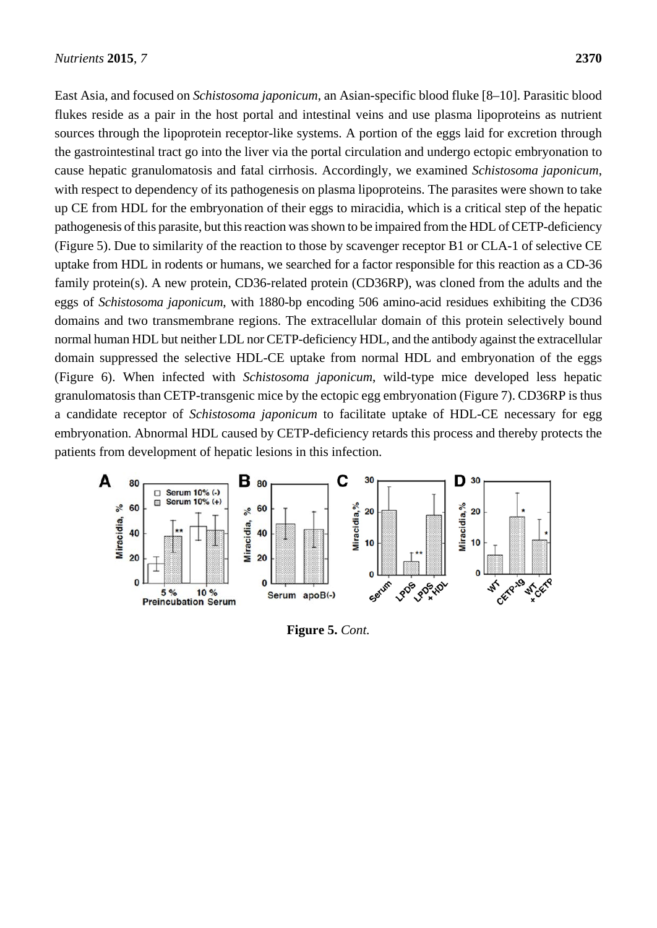East Asia, and focused on *Schistosoma japonicum*, an Asian-specific blood fluke [8–10]. Parasitic blood flukes reside as a pair in the host portal and intestinal veins and use plasma lipoproteins as nutrient sources through the lipoprotein receptor-like systems. A portion of the eggs laid for excretion through the gastrointestinal tract go into the liver via the portal circulation and undergo ectopic embryonation to cause hepatic granulomatosis and fatal cirrhosis. Accordingly, we examined *Schistosoma japonicum*, with respect to dependency of its pathogenesis on plasma lipoproteins. The parasites were shown to take up CE from HDL for the embryonation of their eggs to miracidia, which is a critical step of the hepatic pathogenesis of this parasite, but this reaction was shown to be impaired from the HDL of CETP-deficiency (Figure 5). Due to similarity of the reaction to those by scavenger receptor B1 or CLA-1 of selective CE uptake from HDL in rodents or humans, we searched for a factor responsible for this reaction as a CD-36 family protein(s). A new protein, CD36-related protein (CD36RP), was cloned from the adults and the eggs of *Schistosoma japonicum*, with 1880-bp encoding 506 amino-acid residues exhibiting the CD36 domains and two transmembrane regions. The extracellular domain of this protein selectively bound normal human HDL but neither LDL nor CETP-deficiency HDL, and the antibody against the extracellular domain suppressed the selective HDL-CE uptake from normal HDL and embryonation of the eggs (Figure 6). When infected with *Schistosoma japonicum*, wild-type mice developed less hepatic granulomatosis than CETP-transgenic mice by the ectopic egg embryonation (Figure 7). CD36RP is thus a candidate receptor of *Schistosoma japonicum* to facilitate uptake of HDL-CE necessary for egg embryonation. Abnormal HDL caused by CETP-deficiency retards this process and thereby protects the patients from development of hepatic lesions in this infection.



**Figure 5.** *Cont.*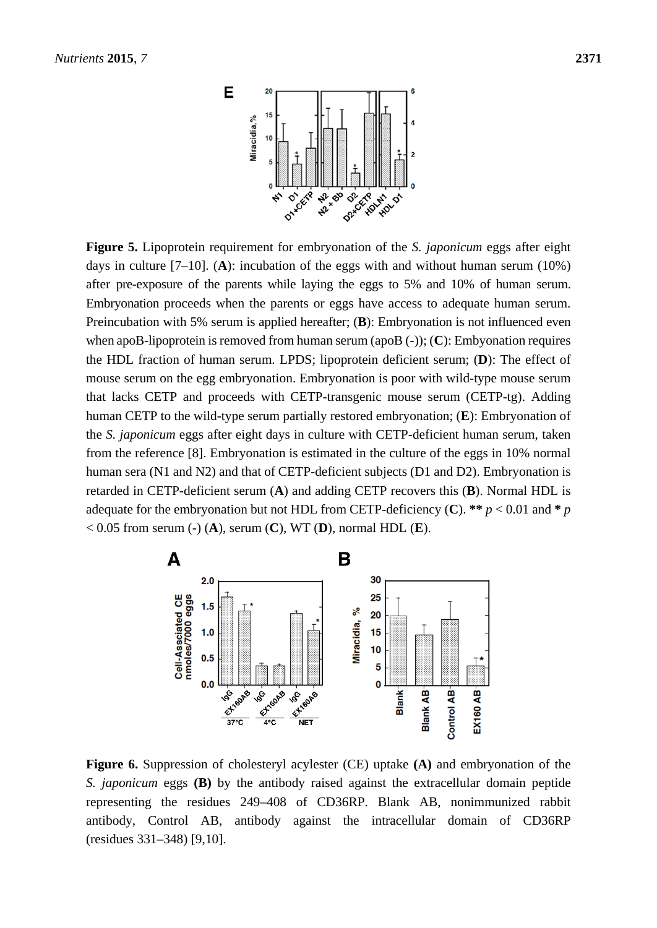

**Figure 5.** Lipoprotein requirement for embryonation of the *S. japonicum* eggs after eight days in culture [7–10]. (**A**): incubation of the eggs with and without human serum (10%) after pre-exposure of the parents while laying the eggs to 5% and 10% of human serum. Embryonation proceeds when the parents or eggs have access to adequate human serum. Preincubation with 5% serum is applied hereafter; (**B**): Embryonation is not influenced even when apoB-lipoprotein is removed from human serum (apoB (-)); (**C**): Embyonation requires the HDL fraction of human serum. LPDS; lipoprotein deficient serum; (**D**): The effect of mouse serum on the egg embryonation. Embryonation is poor with wild-type mouse serum that lacks CETP and proceeds with CETP-transgenic mouse serum (CETP-tg). Adding human CETP to the wild-type serum partially restored embryonation; (**E**): Embryonation of the *S. japonicum* eggs after eight days in culture with CETP-deficient human serum, taken from the reference [8]. Embryonation is estimated in the culture of the eggs in 10% normal human sera (N1 and N2) and that of CETP-deficient subjects (D1 and D2). Embryonation is retarded in CETP-deficient serum (**A**) and adding CETP recovers this (**B**). Normal HDL is adequate for the embryonation but not HDL from CETP-deficiency (C). \*\*  $p < 0.01$  and \*  $p$ < 0.05 from serum (-) (**A**), serum (**C**), WT (**D**), normal HDL (**E**).



**Figure 6.** Suppression of cholesteryl acylester (CE) uptake **(A)** and embryonation of the *S. japonicum* eggs **(B)** by the antibody raised against the extracellular domain peptide representing the residues 249–408 of CD36RP. Blank AB, nonimmunized rabbit antibody, Control AB, antibody against the intracellular domain of CD36RP (residues 331–348) [9,10].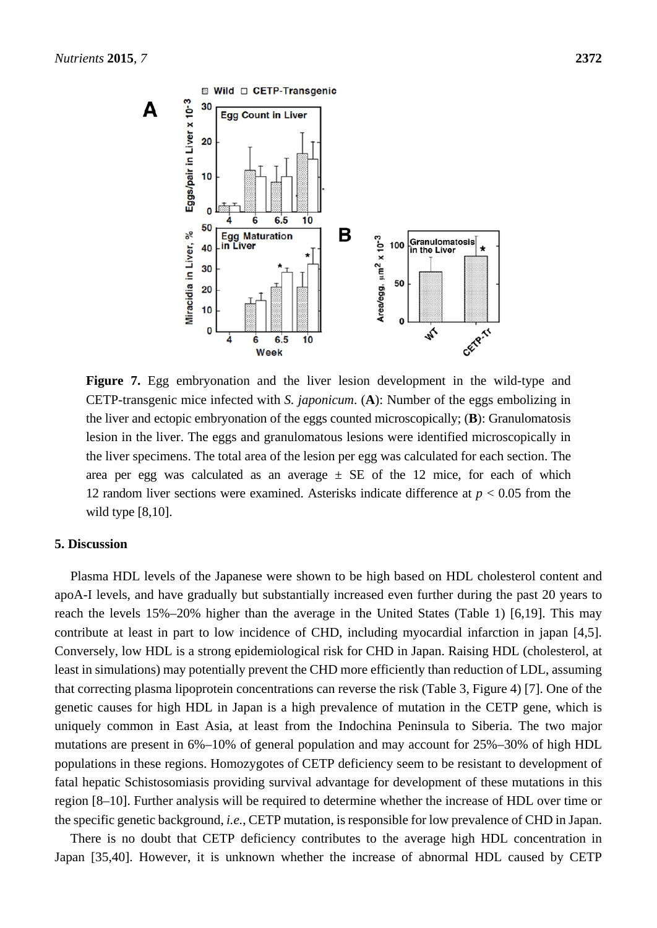

**Figure 7.** Egg embryonation and the liver lesion development in the wild-type and CETP-transgenic mice infected with *S. japonicum*. (**A**): Number of the eggs embolizing in the liver and ectopic embryonation of the eggs counted microscopically; (**B**): Granulomatosis lesion in the liver. The eggs and granulomatous lesions were identified microscopically in the liver specimens. The total area of the lesion per egg was calculated for each section. The area per egg was calculated as an average  $\pm$  SE of the 12 mice, for each of which 12 random liver sections were examined. Asterisks indicate difference at *p* < 0.05 from the wild type [8,10].

#### **5. Discussion**

Plasma HDL levels of the Japanese were shown to be high based on HDL cholesterol content and apoA-I levels, and have gradually but substantially increased even further during the past 20 years to reach the levels 15%–20% higher than the average in the United States (Table 1) [6,19]. This may contribute at least in part to low incidence of CHD, including myocardial infarction in japan [4,5]. Conversely, low HDL is a strong epidemiological risk for CHD in Japan. Raising HDL (cholesterol, at least in simulations) may potentially prevent the CHD more efficiently than reduction of LDL, assuming that correcting plasma lipoprotein concentrations can reverse the risk (Table 3, Figure 4) [7]. One of the genetic causes for high HDL in Japan is a high prevalence of mutation in the CETP gene, which is uniquely common in East Asia, at least from the Indochina Peninsula to Siberia. The two major mutations are present in 6%–10% of general population and may account for 25%–30% of high HDL populations in these regions. Homozygotes of CETP deficiency seem to be resistant to development of fatal hepatic Schistosomiasis providing survival advantage for development of these mutations in this region [8–10]. Further analysis will be required to determine whether the increase of HDL over time or the specific genetic background, *i.e.*, CETP mutation, is responsible for low prevalence of CHD in Japan.

There is no doubt that CETP deficiency contributes to the average high HDL concentration in Japan [35,40]. However, it is unknown whether the increase of abnormal HDL caused by CETP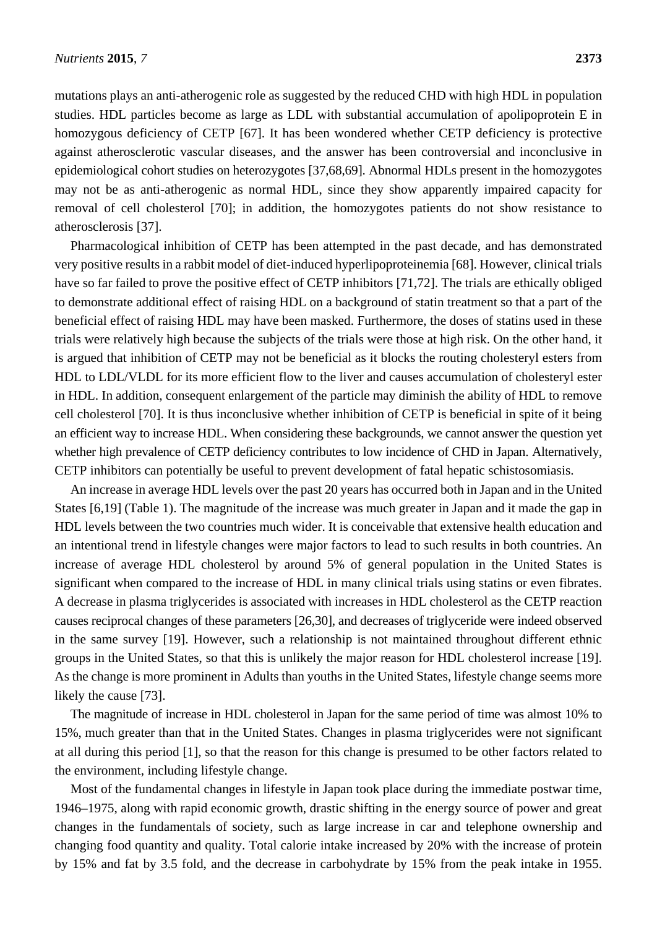mutations plays an anti-atherogenic role as suggested by the reduced CHD with high HDL in population studies. HDL particles become as large as LDL with substantial accumulation of apolipoprotein E in homozygous deficiency of CETP [67]. It has been wondered whether CETP deficiency is protective against atherosclerotic vascular diseases, and the answer has been controversial and inconclusive in epidemiological cohort studies on heterozygotes [37,68,69]. Abnormal HDLs present in the homozygotes may not be as anti-atherogenic as normal HDL, since they show apparently impaired capacity for removal of cell cholesterol [70]; in addition, the homozygotes patients do not show resistance to atherosclerosis [37].

Pharmacological inhibition of CETP has been attempted in the past decade, and has demonstrated very positive results in a rabbit model of diet-induced hyperlipoproteinemia [68]. However, clinical trials have so far failed to prove the positive effect of CETP inhibitors [71,72]. The trials are ethically obliged to demonstrate additional effect of raising HDL on a background of statin treatment so that a part of the beneficial effect of raising HDL may have been masked. Furthermore, the doses of statins used in these trials were relatively high because the subjects of the trials were those at high risk. On the other hand, it is argued that inhibition of CETP may not be beneficial as it blocks the routing cholesteryl esters from HDL to LDL/VLDL for its more efficient flow to the liver and causes accumulation of cholesteryl ester in HDL. In addition, consequent enlargement of the particle may diminish the ability of HDL to remove cell cholesterol [70]. It is thus inconclusive whether inhibition of CETP is beneficial in spite of it being an efficient way to increase HDL. When considering these backgrounds, we cannot answer the question yet whether high prevalence of CETP deficiency contributes to low incidence of CHD in Japan. Alternatively, CETP inhibitors can potentially be useful to prevent development of fatal hepatic schistosomiasis.

An increase in average HDL levels over the past 20 years has occurred both in Japan and in the United States [6,19] (Table 1). The magnitude of the increase was much greater in Japan and it made the gap in HDL levels between the two countries much wider. It is conceivable that extensive health education and an intentional trend in lifestyle changes were major factors to lead to such results in both countries. An increase of average HDL cholesterol by around 5% of general population in the United States is significant when compared to the increase of HDL in many clinical trials using statins or even fibrates. A decrease in plasma triglycerides is associated with increases in HDL cholesterol as the CETP reaction causes reciprocal changes of these parameters [26,30], and decreases of triglyceride were indeed observed in the same survey [19]. However, such a relationship is not maintained throughout different ethnic groups in the United States, so that this is unlikely the major reason for HDL cholesterol increase [19]. As the change is more prominent in Adults than youths in the United States, lifestyle change seems more likely the cause [73].

The magnitude of increase in HDL cholesterol in Japan for the same period of time was almost 10% to 15%, much greater than that in the United States. Changes in plasma triglycerides were not significant at all during this period [1], so that the reason for this change is presumed to be other factors related to the environment, including lifestyle change.

Most of the fundamental changes in lifestyle in Japan took place during the immediate postwar time, 1946–1975, along with rapid economic growth, drastic shifting in the energy source of power and great changes in the fundamentals of society, such as large increase in car and telephone ownership and changing food quantity and quality. Total calorie intake increased by 20% with the increase of protein by 15% and fat by 3.5 fold, and the decrease in carbohydrate by 15% from the peak intake in 1955.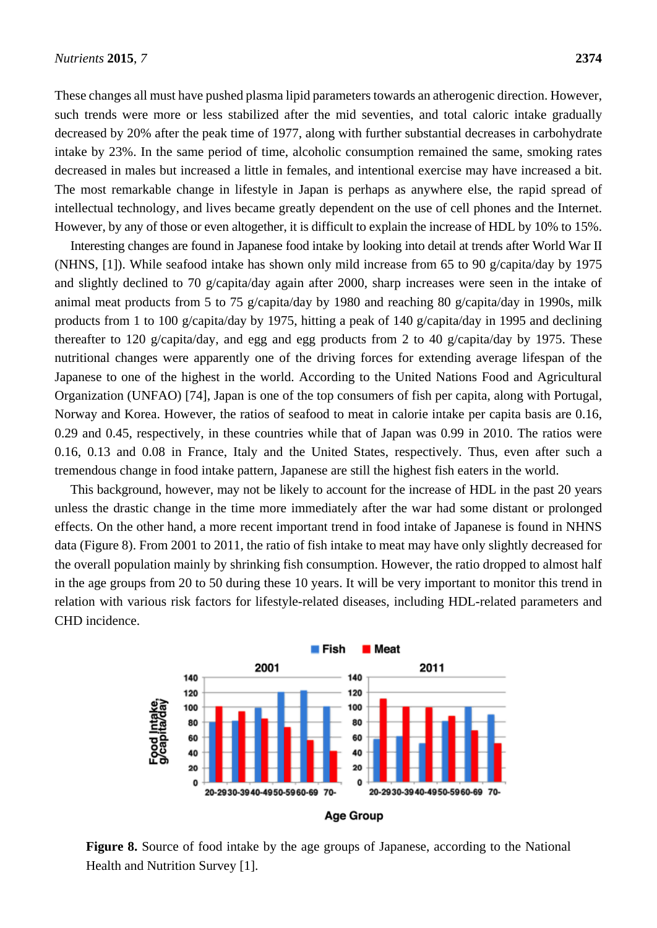These changes all must have pushed plasma lipid parameters towards an atherogenic direction. However, such trends were more or less stabilized after the mid seventies, and total caloric intake gradually decreased by 20% after the peak time of 1977, along with further substantial decreases in carbohydrate intake by 23%. In the same period of time, alcoholic consumption remained the same, smoking rates decreased in males but increased a little in females, and intentional exercise may have increased a bit. The most remarkable change in lifestyle in Japan is perhaps as anywhere else, the rapid spread of intellectual technology, and lives became greatly dependent on the use of cell phones and the Internet. However, by any of those or even altogether, it is difficult to explain the increase of HDL by 10% to 15%.

Interesting changes are found in Japanese food intake by looking into detail at trends after World War II (NHNS, [1]). While seafood intake has shown only mild increase from 65 to 90 g/capita/day by 1975 and slightly declined to 70 g/capita/day again after 2000, sharp increases were seen in the intake of animal meat products from 5 to 75 g/capita/day by 1980 and reaching 80 g/capita/day in 1990s, milk products from 1 to 100 g/capita/day by 1975, hitting a peak of 140 g/capita/day in 1995 and declining thereafter to 120 g/capita/day, and egg and egg products from 2 to 40 g/capita/day by 1975. These nutritional changes were apparently one of the driving forces for extending average lifespan of the Japanese to one of the highest in the world. According to the United Nations Food and Agricultural Organization (UNFAO) [74], Japan is one of the top consumers of fish per capita, along with Portugal, Norway and Korea. However, the ratios of seafood to meat in calorie intake per capita basis are 0.16, 0.29 and 0.45, respectively, in these countries while that of Japan was 0.99 in 2010. The ratios were 0.16, 0.13 and 0.08 in France, Italy and the United States, respectively. Thus, even after such a tremendous change in food intake pattern, Japanese are still the highest fish eaters in the world.

This background, however, may not be likely to account for the increase of HDL in the past 20 years unless the drastic change in the time more immediately after the war had some distant or prolonged effects. On the other hand, a more recent important trend in food intake of Japanese is found in NHNS data (Figure 8). From 2001 to 2011, the ratio of fish intake to meat may have only slightly decreased for the overall population mainly by shrinking fish consumption. However, the ratio dropped to almost half in the age groups from 20 to 50 during these 10 years. It will be very important to monitor this trend in relation with various risk factors for lifestyle-related diseases, including HDL-related parameters and CHD incidence.



**Figure 8.** Source of food intake by the age groups of Japanese, according to the National Health and Nutrition Survey [1].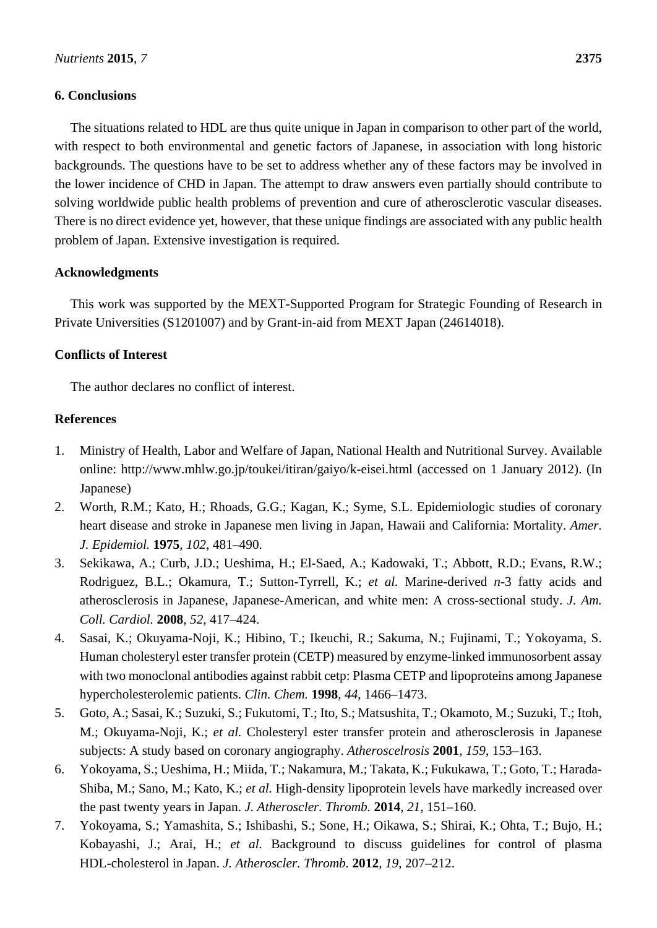## **6. Conclusions**

The situations related to HDL are thus quite unique in Japan in comparison to other part of the world, with respect to both environmental and genetic factors of Japanese, in association with long historic backgrounds. The questions have to be set to address whether any of these factors may be involved in the lower incidence of CHD in Japan. The attempt to draw answers even partially should contribute to solving worldwide public health problems of prevention and cure of atherosclerotic vascular diseases. There is no direct evidence yet, however, that these unique findings are associated with any public health problem of Japan. Extensive investigation is required.

## **Acknowledgments**

This work was supported by the MEXT-Supported Program for Strategic Founding of Research in Private Universities (S1201007) and by Grant-in-aid from MEXT Japan (24614018).

# **Conflicts of Interest**

The author declares no conflict of interest.

## **References**

- 1. Ministry of Health, Labor and Welfare of Japan, National Health and Nutritional Survey. Available online: http://www.mhlw.go.jp/toukei/itiran/gaiyo/k-eisei.html (accessed on 1 January 2012). (In Japanese)
- 2. Worth, R.M.; Kato, H.; Rhoads, G.G.; Kagan, K.; Syme, S.L. Epidemiologic studies of coronary heart disease and stroke in Japanese men living in Japan, Hawaii and California: Mortality. *Amer. J. Epidemiol.* **1975**, *102*, 481–490.
- 3. Sekikawa, A.; Curb, J.D.; Ueshima, H.; El-Saed, A.; Kadowaki, T.; Abbott, R.D.; Evans, R.W.; Rodriguez, B.L.; Okamura, T.; Sutton-Tyrrell, K.; *et al.* Marine-derived *n*-3 fatty acids and atherosclerosis in Japanese, Japanese-American, and white men: A cross-sectional study. *J. Am. Coll. Cardiol.* **2008**, *52*, 417–424.
- 4. Sasai, K.; Okuyama-Noji, K.; Hibino, T.; Ikeuchi, R.; Sakuma, N.; Fujinami, T.; Yokoyama, S. Human cholesteryl ester transfer protein (CETP) measured by enzyme-linked immunosorbent assay with two monoclonal antibodies against rabbit cetp: Plasma CETP and lipoproteins among Japanese hypercholesterolemic patients. *Clin. Chem.* **1998**, *44*, 1466–1473.
- 5. Goto, A.; Sasai, K.; Suzuki, S.; Fukutomi, T.; Ito, S.; Matsushita, T.; Okamoto, M.; Suzuki, T.; Itoh, M.; Okuyama-Noji, K.; *et al.* Cholesteryl ester transfer protein and atherosclerosis in Japanese subjects: A study based on coronary angiography. *Atheroscelrosis* **2001**, *159*, 153–163.
- 6. Yokoyama, S.; Ueshima, H.; Miida, T.; Nakamura, M.; Takata, K.; Fukukawa, T.; Goto, T.; Harada-Shiba, M.; Sano, M.; Kato, K.; *et al.* High-density lipoprotein levels have markedly increased over the past twenty years in Japan. *J. Atheroscler. Thromb.* **2014**, *21*, 151–160.
- 7. Yokoyama, S.; Yamashita, S.; Ishibashi, S.; Sone, H.; Oikawa, S.; Shirai, K.; Ohta, T.; Bujo, H.; Kobayashi, J.; Arai, H.; *et al.* Background to discuss guidelines for control of plasma HDL-cholesterol in Japan. *J. Atheroscler. Thromb.* **2012**, *19*, 207–212.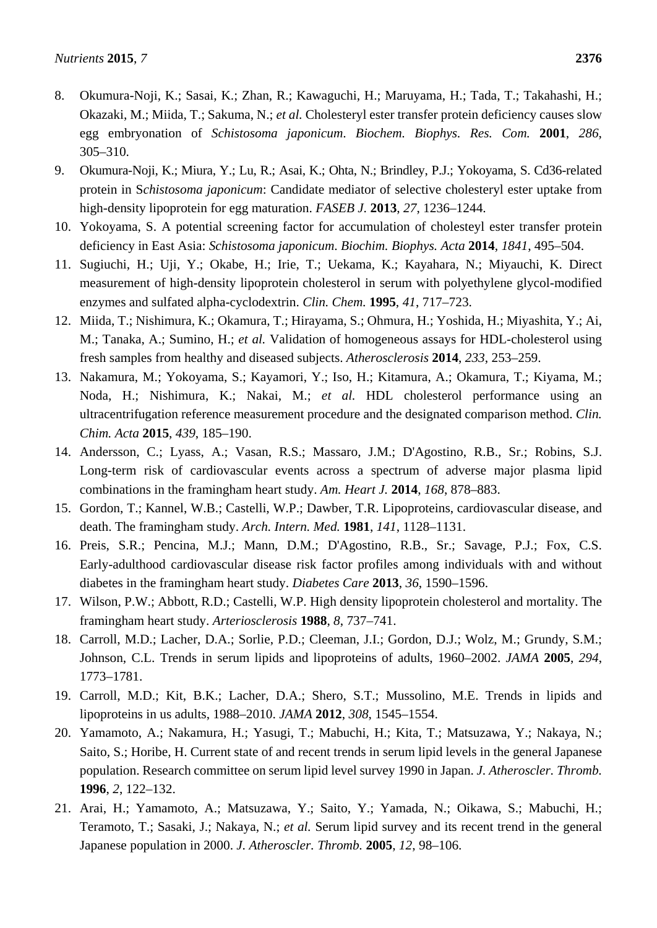- 8. Okumura-Noji, K.; Sasai, K.; Zhan, R.; Kawaguchi, H.; Maruyama, H.; Tada, T.; Takahashi, H.; Okazaki, M.; Miida, T.; Sakuma, N.; *et al.* Cholesteryl ester transfer protein deficiency causes slow egg embryonation of *Schistosoma japonicum*. *Biochem. Biophys. Res. Com.* **2001**, *286*, 305–310.
- 9. Okumura-Noji, K.; Miura, Y.; Lu, R.; Asai, K.; Ohta, N.; Brindley, P.J.; Yokoyama, S. Cd36-related protein in S*chistosoma japonicum*: Candidate mediator of selective cholesteryl ester uptake from high-density lipoprotein for egg maturation. *FASEB J.* **2013**, *27*, 1236–1244.
- 10. Yokoyama, S. A potential screening factor for accumulation of cholesteyl ester transfer protein deficiency in East Asia: *Schistosoma japonicum*. *Biochim. Biophys. Acta* **2014**, *1841*, 495–504.
- 11. Sugiuchi, H.; Uji, Y.; Okabe, H.; Irie, T.; Uekama, K.; Kayahara, N.; Miyauchi, K. Direct measurement of high-density lipoprotein cholesterol in serum with polyethylene glycol-modified enzymes and sulfated alpha-cyclodextrin. *Clin. Chem.* **1995**, *41*, 717–723.
- 12. Miida, T.; Nishimura, K.; Okamura, T.; Hirayama, S.; Ohmura, H.; Yoshida, H.; Miyashita, Y.; Ai, M.; Tanaka, A.; Sumino, H.; *et al.* Validation of homogeneous assays for HDL-cholesterol using fresh samples from healthy and diseased subjects. *Atherosclerosis* **2014**, *233*, 253–259.
- 13. Nakamura, M.; Yokoyama, S.; Kayamori, Y.; Iso, H.; Kitamura, A.; Okamura, T.; Kiyama, M.; Noda, H.; Nishimura, K.; Nakai, M.; *et al.* HDL cholesterol performance using an ultracentrifugation reference measurement procedure and the designated comparison method. *Clin. Chim. Acta* **2015**, *439*, 185–190.
- 14. Andersson, C.; Lyass, A.; Vasan, R.S.; Massaro, J.M.; D'Agostino, R.B., Sr.; Robins, S.J. Long-term risk of cardiovascular events across a spectrum of adverse major plasma lipid combinations in the framingham heart study. *Am. Heart J.* **2014**, *168*, 878–883.
- 15. Gordon, T.; Kannel, W.B.; Castelli, W.P.; Dawber, T.R. Lipoproteins, cardiovascular disease, and death. The framingham study. *Arch. Intern. Med.* **1981**, *141*, 1128–1131.
- 16. Preis, S.R.; Pencina, M.J.; Mann, D.M.; D'Agostino, R.B., Sr.; Savage, P.J.; Fox, C.S. Early-adulthood cardiovascular disease risk factor profiles among individuals with and without diabetes in the framingham heart study. *Diabetes Care* **2013**, *36*, 1590–1596.
- 17. Wilson, P.W.; Abbott, R.D.; Castelli, W.P. High density lipoprotein cholesterol and mortality. The framingham heart study. *Arteriosclerosis* **1988**, *8*, 737–741.
- 18. Carroll, M.D.; Lacher, D.A.; Sorlie, P.D.; Cleeman, J.I.; Gordon, D.J.; Wolz, M.; Grundy, S.M.; Johnson, C.L. Trends in serum lipids and lipoproteins of adults, 1960–2002. *JAMA* **2005**, *294*, 1773–1781.
- 19. Carroll, M.D.; Kit, B.K.; Lacher, D.A.; Shero, S.T.; Mussolino, M.E. Trends in lipids and lipoproteins in us adults, 1988–2010. *JAMA* **2012**, *308*, 1545–1554.
- 20. Yamamoto, A.; Nakamura, H.; Yasugi, T.; Mabuchi, H.; Kita, T.; Matsuzawa, Y.; Nakaya, N.; Saito, S.; Horibe, H. Current state of and recent trends in serum lipid levels in the general Japanese population. Research committee on serum lipid level survey 1990 in Japan. *J. Atheroscler. Thromb.* **1996**, *2*, 122–132.
- 21. Arai, H.; Yamamoto, A.; Matsuzawa, Y.; Saito, Y.; Yamada, N.; Oikawa, S.; Mabuchi, H.; Teramoto, T.; Sasaki, J.; Nakaya, N.; *et al.* Serum lipid survey and its recent trend in the general Japanese population in 2000. *J. Atheroscler. Thromb.* **2005**, *12*, 98–106.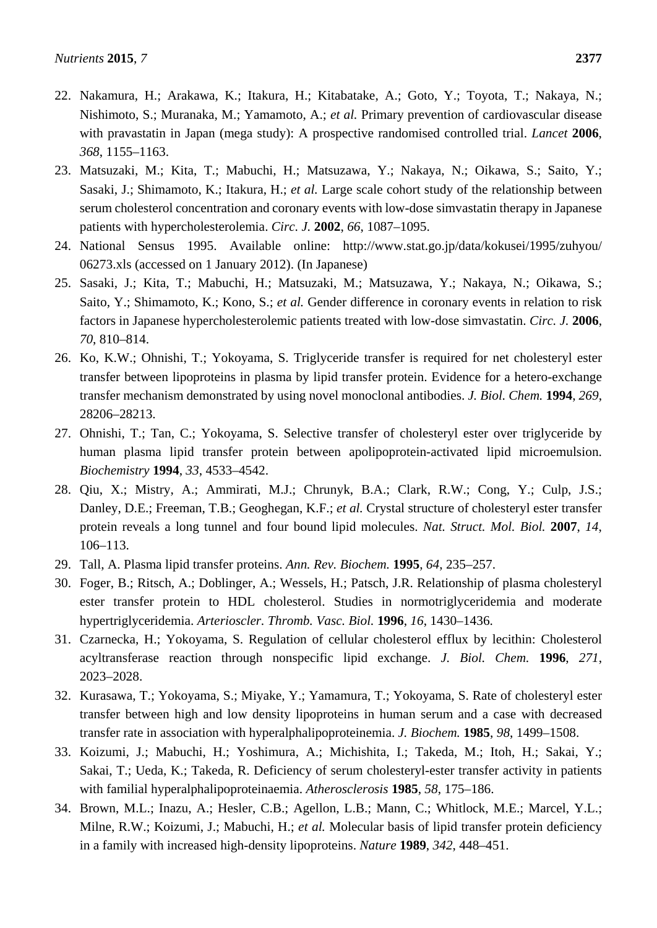- 22. Nakamura, H.; Arakawa, K.; Itakura, H.; Kitabatake, A.; Goto, Y.; Toyota, T.; Nakaya, N.; Nishimoto, S.; Muranaka, M.; Yamamoto, A.; *et al.* Primary prevention of cardiovascular disease with pravastatin in Japan (mega study): A prospective randomised controlled trial. *Lancet* **2006**, *368*, 1155–1163.
- 23. Matsuzaki, M.; Kita, T.; Mabuchi, H.; Matsuzawa, Y.; Nakaya, N.; Oikawa, S.; Saito, Y.; Sasaki, J.; Shimamoto, K.; Itakura, H.; *et al.* Large scale cohort study of the relationship between serum cholesterol concentration and coronary events with low-dose simvastatin therapy in Japanese patients with hypercholesterolemia. *Circ. J.* **2002**, *66*, 1087–1095.
- 24. National Sensus 1995. Available online: http://www.stat.go.jp/data/kokusei/1995/zuhyou/ 06273.xls (accessed on 1 January 2012). (In Japanese)
- 25. Sasaki, J.; Kita, T.; Mabuchi, H.; Matsuzaki, M.; Matsuzawa, Y.; Nakaya, N.; Oikawa, S.; Saito, Y.; Shimamoto, K.; Kono, S.; *et al.* Gender difference in coronary events in relation to risk factors in Japanese hypercholesterolemic patients treated with low-dose simvastatin. *Circ. J.* **2006**, *70*, 810–814.
- 26. Ko, K.W.; Ohnishi, T.; Yokoyama, S. Triglyceride transfer is required for net cholesteryl ester transfer between lipoproteins in plasma by lipid transfer protein. Evidence for a hetero-exchange transfer mechanism demonstrated by using novel monoclonal antibodies. *J. Biol. Chem.* **1994**, *269*, 28206–28213.
- 27. Ohnishi, T.; Tan, C.; Yokoyama, S. Selective transfer of cholesteryl ester over triglyceride by human plasma lipid transfer protein between apolipoprotein-activated lipid microemulsion. *Biochemistry* **1994**, *33*, 4533–4542.
- 28. Qiu, X.; Mistry, A.; Ammirati, M.J.; Chrunyk, B.A.; Clark, R.W.; Cong, Y.; Culp, J.S.; Danley, D.E.; Freeman, T.B.; Geoghegan, K.F.; *et al.* Crystal structure of cholesteryl ester transfer protein reveals a long tunnel and four bound lipid molecules. *Nat. Struct. Mol. Biol.* **2007**, *14*, 106–113.
- 29. Tall, A. Plasma lipid transfer proteins. *Ann. Rev. Biochem.* **1995**, *64*, 235–257.
- 30. Foger, B.; Ritsch, A.; Doblinger, A.; Wessels, H.; Patsch, J.R. Relationship of plasma cholesteryl ester transfer protein to HDL cholesterol. Studies in normotriglyceridemia and moderate hypertriglyceridemia. *Arterioscler. Thromb. Vasc. Biol.* **1996**, *16*, 1430–1436.
- 31. Czarnecka, H.; Yokoyama, S. Regulation of cellular cholesterol efflux by lecithin: Cholesterol acyltransferase reaction through nonspecific lipid exchange. *J. Biol. Chem.* **1996**, *271*, 2023–2028.
- 32. Kurasawa, T.; Yokoyama, S.; Miyake, Y.; Yamamura, T.; Yokoyama, S. Rate of cholesteryl ester transfer between high and low density lipoproteins in human serum and a case with decreased transfer rate in association with hyperalphalipoproteinemia. *J. Biochem.* **1985**, *98*, 1499–1508.
- 33. Koizumi, J.; Mabuchi, H.; Yoshimura, A.; Michishita, I.; Takeda, M.; Itoh, H.; Sakai, Y.; Sakai, T.; Ueda, K.; Takeda, R. Deficiency of serum cholesteryl-ester transfer activity in patients with familial hyperalphalipoproteinaemia. *Atherosclerosis* **1985**, *58*, 175–186.
- 34. Brown, M.L.; Inazu, A.; Hesler, C.B.; Agellon, L.B.; Mann, C.; Whitlock, M.E.; Marcel, Y.L.; Milne, R.W.; Koizumi, J.; Mabuchi, H.; *et al.* Molecular basis of lipid transfer protein deficiency in a family with increased high-density lipoproteins. *Nature* **1989**, *342*, 448–451.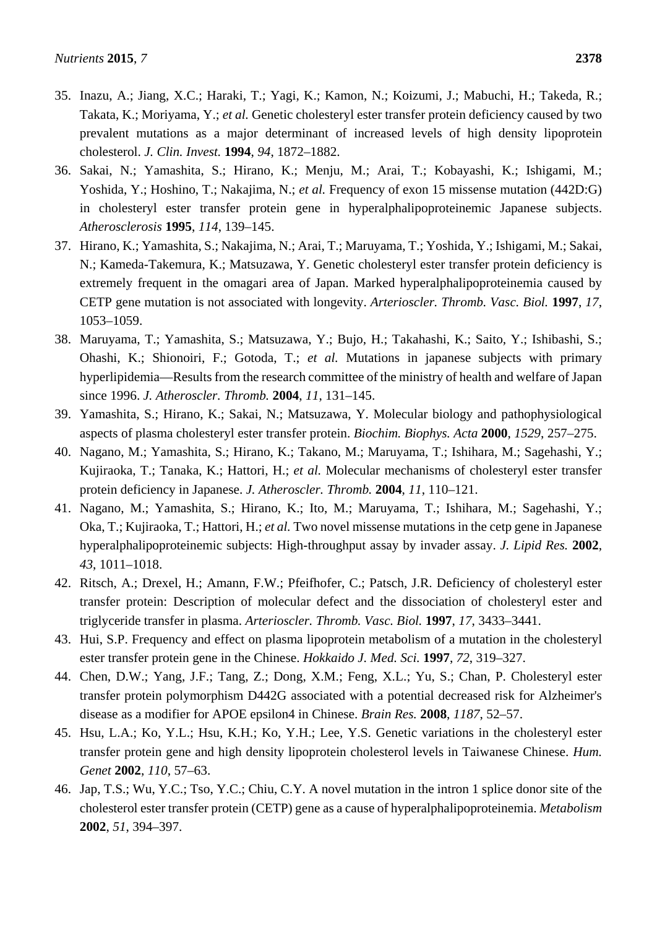- 35. Inazu, A.; Jiang, X.C.; Haraki, T.; Yagi, K.; Kamon, N.; Koizumi, J.; Mabuchi, H.; Takeda, R.; Takata, K.; Moriyama, Y.; *et al.* Genetic cholesteryl ester transfer protein deficiency caused by two prevalent mutations as a major determinant of increased levels of high density lipoprotein cholesterol. *J. Clin. Invest.* **1994**, *94*, 1872–1882.
- 36. Sakai, N.; Yamashita, S.; Hirano, K.; Menju, M.; Arai, T.; Kobayashi, K.; Ishigami, M.; Yoshida, Y.; Hoshino, T.; Nakajima, N.; *et al.* Frequency of exon 15 missense mutation (442D:G) in cholesteryl ester transfer protein gene in hyperalphalipoproteinemic Japanese subjects. *Atherosclerosis* **1995**, *114*, 139–145.
- 37. Hirano, K.; Yamashita, S.; Nakajima, N.; Arai, T.; Maruyama, T.; Yoshida, Y.; Ishigami, M.; Sakai, N.; Kameda-Takemura, K.; Matsuzawa, Y. Genetic cholesteryl ester transfer protein deficiency is extremely frequent in the omagari area of Japan. Marked hyperalphalipoproteinemia caused by CETP gene mutation is not associated with longevity. *Arterioscler. Thromb. Vasc. Biol.* **1997**, *17*, 1053–1059.
- 38. Maruyama, T.; Yamashita, S.; Matsuzawa, Y.; Bujo, H.; Takahashi, K.; Saito, Y.; Ishibashi, S.; Ohashi, K.; Shionoiri, F.; Gotoda, T.; *et al.* Mutations in japanese subjects with primary hyperlipidemia—Results from the research committee of the ministry of health and welfare of Japan since 1996. *J. Atheroscler. Thromb.* **2004**, *11*, 131–145.
- 39. Yamashita, S.; Hirano, K.; Sakai, N.; Matsuzawa, Y. Molecular biology and pathophysiological aspects of plasma cholesteryl ester transfer protein. *Biochim. Biophys. Acta* **2000**, *1529*, 257–275.
- 40. Nagano, M.; Yamashita, S.; Hirano, K.; Takano, M.; Maruyama, T.; Ishihara, M.; Sagehashi, Y.; Kujiraoka, T.; Tanaka, K.; Hattori, H.; *et al.* Molecular mechanisms of cholesteryl ester transfer protein deficiency in Japanese. *J. Atheroscler. Thromb.* **2004**, *11*, 110–121.
- 41. Nagano, M.; Yamashita, S.; Hirano, K.; Ito, M.; Maruyama, T.; Ishihara, M.; Sagehashi, Y.; Oka, T.; Kujiraoka, T.; Hattori, H.; *et al.* Two novel missense mutations in the cetp gene in Japanese hyperalphalipoproteinemic subjects: High-throughput assay by invader assay. *J. Lipid Res.* **2002**, *43*, 1011–1018.
- 42. Ritsch, A.; Drexel, H.; Amann, F.W.; Pfeifhofer, C.; Patsch, J.R. Deficiency of cholesteryl ester transfer protein: Description of molecular defect and the dissociation of cholesteryl ester and triglyceride transfer in plasma. *Arterioscler. Thromb. Vasc. Biol.* **1997**, *17*, 3433–3441.
- 43. Hui, S.P. Frequency and effect on plasma lipoprotein metabolism of a mutation in the cholesteryl ester transfer protein gene in the Chinese. *Hokkaido J. Med. Sci.* **1997**, *72*, 319–327.
- 44. Chen, D.W.; Yang, J.F.; Tang, Z.; Dong, X.M.; Feng, X.L.; Yu, S.; Chan, P. Cholesteryl ester transfer protein polymorphism D442G associated with a potential decreased risk for Alzheimer's disease as a modifier for APOE epsilon4 in Chinese. *Brain Res.* **2008**, *1187*, 52–57.
- 45. Hsu, L.A.; Ko, Y.L.; Hsu, K.H.; Ko, Y.H.; Lee, Y.S. Genetic variations in the cholesteryl ester transfer protein gene and high density lipoprotein cholesterol levels in Taiwanese Chinese. *Hum. Genet* **2002**, *110*, 57–63.
- 46. Jap, T.S.; Wu, Y.C.; Tso, Y.C.; Chiu, C.Y. A novel mutation in the intron 1 splice donor site of the cholesterol ester transfer protein (CETP) gene as a cause of hyperalphalipoproteinemia. *Metabolism*  **2002**, *51*, 394–397.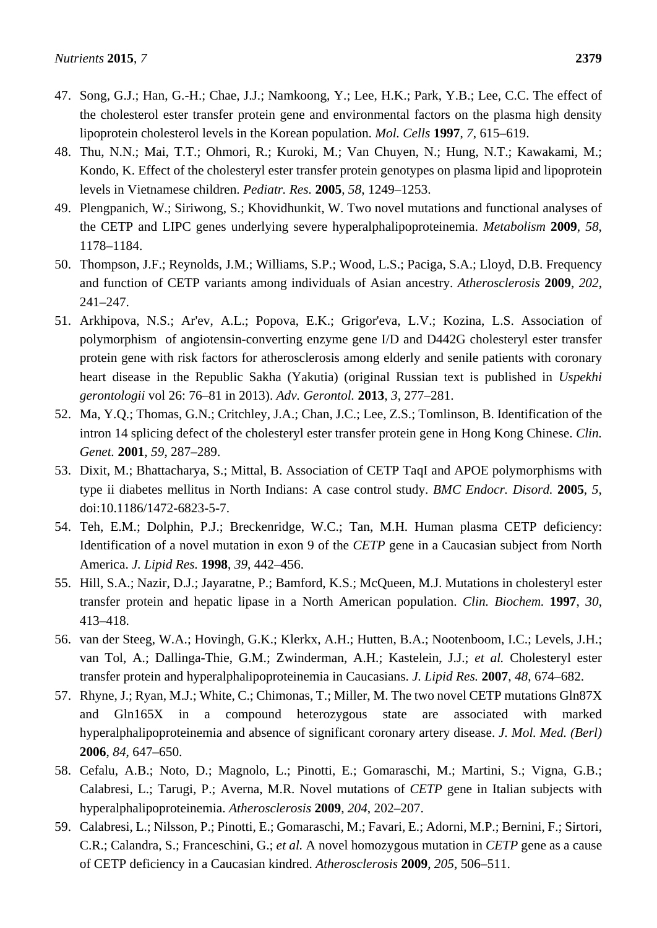- 47. Song, G.J.; Han, G.-H.; Chae, J.J.; Namkoong, Y.; Lee, H.K.; Park, Y.B.; Lee, C.C. The effect of the cholesterol ester transfer protein gene and environmental factors on the plasma high density lipoprotein cholesterol levels in the Korean population. *Mol. Cells* **1997**, *7*, 615–619.
- 48. Thu, N.N.; Mai, T.T.; Ohmori, R.; Kuroki, M.; Van Chuyen, N.; Hung, N.T.; Kawakami, M.; Kondo, K. Effect of the cholesteryl ester transfer protein genotypes on plasma lipid and lipoprotein levels in Vietnamese children. *Pediatr. Res.* **2005**, *58*, 1249–1253.
- 49. Plengpanich, W.; Siriwong, S.; Khovidhunkit, W. Two novel mutations and functional analyses of the CETP and LIPC genes underlying severe hyperalphalipoproteinemia. *Metabolism* **2009**, *58*, 1178–1184.
- 50. Thompson, J.F.; Reynolds, J.M.; Williams, S.P.; Wood, L.S.; Paciga, S.A.; Lloyd, D.B. Frequency and function of CETP variants among individuals of Asian ancestry. *Atherosclerosis* **2009**, *202*, 241–247.
- 51. Arkhipova, N.S.; Ar'ev, A.L.; Popova, E.K.; Grigor'eva, L.V.; Kozina, L.S. Association of polymorphism of angiotensin-converting enzyme gene I/D and D442G cholesteryl ester transfer protein gene with risk factors for atherosclerosis among elderly and senile patients with coronary heart disease in the Republic Sakha (Yakutia) (original Russian text is published in *Uspekhi gerontologii* vol 26: 76–81 in 2013). *Adv. Gerontol.* **2013**, *3*, 277–281.
- 52. Ma, Y.Q.; Thomas, G.N.; Critchley, J.A.; Chan, J.C.; Lee, Z.S.; Tomlinson, B. Identification of the intron 14 splicing defect of the cholesteryl ester transfer protein gene in Hong Kong Chinese. *Clin. Genet.* **2001**, *59*, 287–289.
- 53. Dixit, M.; Bhattacharya, S.; Mittal, B. Association of CETP TaqI and APOE polymorphisms with type ii diabetes mellitus in North Indians: A case control study. *BMC Endocr. Disord.* **2005**, *5*, doi:10.1186/1472-6823-5-7.
- 54. Teh, E.M.; Dolphin, P.J.; Breckenridge, W.C.; Tan, M.H. Human plasma CETP deficiency: Identification of a novel mutation in exon 9 of the *CETP* gene in a Caucasian subject from North America. *J. Lipid Res.* **1998**, *39*, 442–456.
- 55. Hill, S.A.; Nazir, D.J.; Jayaratne, P.; Bamford, K.S.; McQueen, M.J. Mutations in cholesteryl ester transfer protein and hepatic lipase in a North American population. *Clin. Biochem.* **1997**, *30*, 413–418.
- 56. van der Steeg, W.A.; Hovingh, G.K.; Klerkx, A.H.; Hutten, B.A.; Nootenboom, I.C.; Levels, J.H.; van Tol, A.; Dallinga-Thie, G.M.; Zwinderman, A.H.; Kastelein, J.J.; *et al.* Cholesteryl ester transfer protein and hyperalphalipoproteinemia in Caucasians. *J. Lipid Res.* **2007**, *48*, 674–682.
- 57. Rhyne, J.; Ryan, M.J.; White, C.; Chimonas, T.; Miller, M. The two novel CETP mutations Gln87X and Gln165X in a compound heterozygous state are associated with marked hyperalphalipoproteinemia and absence of significant coronary artery disease. *J. Mol. Med. (Berl)*  **2006**, *84*, 647–650.
- 58. Cefalu, A.B.; Noto, D.; Magnolo, L.; Pinotti, E.; Gomaraschi, M.; Martini, S.; Vigna, G.B.; Calabresi, L.; Tarugi, P.; Averna, M.R. Novel mutations of *CETP* gene in Italian subjects with hyperalphalipoproteinemia. *Atherosclerosis* **2009**, *204*, 202–207.
- 59. Calabresi, L.; Nilsson, P.; Pinotti, E.; Gomaraschi, M.; Favari, E.; Adorni, M.P.; Bernini, F.; Sirtori, C.R.; Calandra, S.; Franceschini, G.; *et al.* A novel homozygous mutation in *CETP* gene as a cause of CETP deficiency in a Caucasian kindred. *Atherosclerosis* **2009**, *205*, 506–511.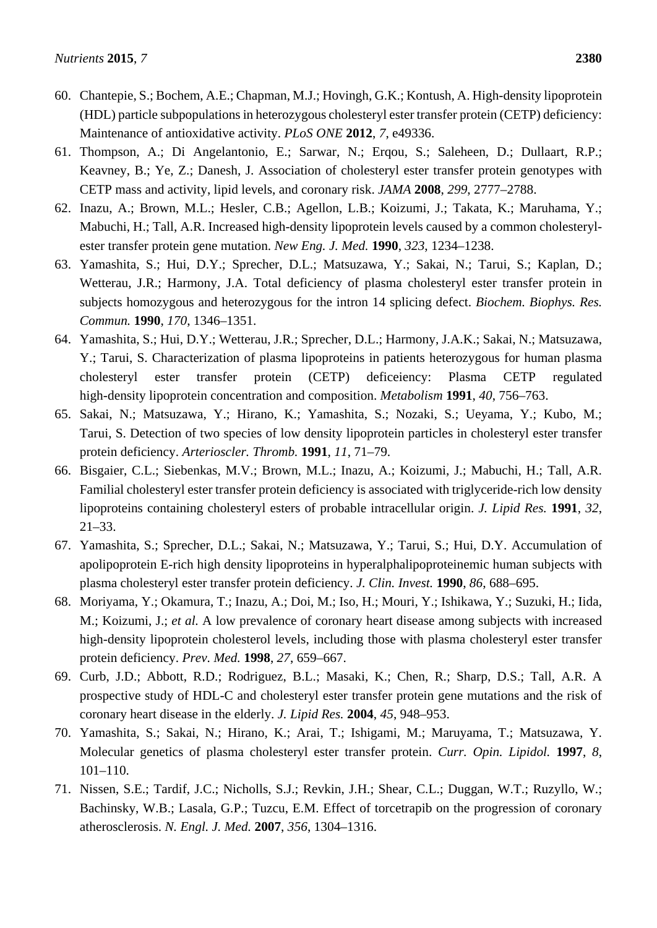- 60. Chantepie, S.; Bochem, A.E.; Chapman, M.J.; Hovingh, G.K.; Kontush, A. High-density lipoprotein (HDL) particle subpopulations in heterozygous cholesteryl ester transfer protein (CETP) deficiency: Maintenance of antioxidative activity. *PLoS ONE* **2012**, *7*, e49336.
- 61. Thompson, A.; Di Angelantonio, E.; Sarwar, N.; Erqou, S.; Saleheen, D.; Dullaart, R.P.; Keavney, B.; Ye, Z.; Danesh, J. Association of cholesteryl ester transfer protein genotypes with CETP mass and activity, lipid levels, and coronary risk. *JAMA* **2008**, *299*, 2777–2788.
- 62. Inazu, A.; Brown, M.L.; Hesler, C.B.; Agellon, L.B.; Koizumi, J.; Takata, K.; Maruhama, Y.; Mabuchi, H.; Tall, A.R. Increased high-density lipoprotein levels caused by a common cholesterylester transfer protein gene mutation. *New Eng. J. Med.* **1990**, *323*, 1234–1238.
- 63. Yamashita, S.; Hui, D.Y.; Sprecher, D.L.; Matsuzawa, Y.; Sakai, N.; Tarui, S.; Kaplan, D.; Wetterau, J.R.; Harmony, J.A. Total deficiency of plasma cholesteryl ester transfer protein in subjects homozygous and heterozygous for the intron 14 splicing defect. *Biochem. Biophys. Res. Commun.* **1990**, *170*, 1346–1351.
- 64. Yamashita, S.; Hui, D.Y.; Wetterau, J.R.; Sprecher, D.L.; Harmony, J.A.K.; Sakai, N.; Matsuzawa, Y.; Tarui, S. Characterization of plasma lipoproteins in patients heterozygous for human plasma cholesteryl ester transfer protein (CETP) deficeiency: Plasma CETP regulated high-density lipoprotein concentration and composition. *Metabolism* **1991**, *40*, 756–763.
- 65. Sakai, N.; Matsuzawa, Y.; Hirano, K.; Yamashita, S.; Nozaki, S.; Ueyama, Y.; Kubo, M.; Tarui, S. Detection of two species of low density lipoprotein particles in cholesteryl ester transfer protein deficiency. *Arterioscler. Thromb.* **1991**, *11*, 71–79.
- 66. Bisgaier, C.L.; Siebenkas, M.V.; Brown, M.L.; Inazu, A.; Koizumi, J.; Mabuchi, H.; Tall, A.R. Familial cholesteryl ester transfer protein deficiency is associated with triglyceride-rich low density lipoproteins containing cholesteryl esters of probable intracellular origin. *J. Lipid Res.* **1991**, *32*, 21–33.
- 67. Yamashita, S.; Sprecher, D.L.; Sakai, N.; Matsuzawa, Y.; Tarui, S.; Hui, D.Y. Accumulation of apolipoprotein E-rich high density lipoproteins in hyperalphalipoproteinemic human subjects with plasma cholesteryl ester transfer protein deficiency. *J. Clin. Invest.* **1990**, *86*, 688–695.
- 68. Moriyama, Y.; Okamura, T.; Inazu, A.; Doi, M.; Iso, H.; Mouri, Y.; Ishikawa, Y.; Suzuki, H.; Iida, M.; Koizumi, J.; *et al.* A low prevalence of coronary heart disease among subjects with increased high-density lipoprotein cholesterol levels, including those with plasma cholesteryl ester transfer protein deficiency. *Prev. Med.* **1998**, *27*, 659–667.
- 69. Curb, J.D.; Abbott, R.D.; Rodriguez, B.L.; Masaki, K.; Chen, R.; Sharp, D.S.; Tall, A.R. A prospective study of HDL-C and cholesteryl ester transfer protein gene mutations and the risk of coronary heart disease in the elderly. *J. Lipid Res.* **2004**, *45*, 948–953.
- 70. Yamashita, S.; Sakai, N.; Hirano, K.; Arai, T.; Ishigami, M.; Maruyama, T.; Matsuzawa, Y. Molecular genetics of plasma cholesteryl ester transfer protein. *Curr. Opin. Lipidol.* **1997**, *8*, 101–110.
- 71. Nissen, S.E.; Tardif, J.C.; Nicholls, S.J.; Revkin, J.H.; Shear, C.L.; Duggan, W.T.; Ruzyllo, W.; Bachinsky, W.B.; Lasala, G.P.; Tuzcu, E.M. Effect of torcetrapib on the progression of coronary atherosclerosis. *N. Engl. J. Med.* **2007**, *356*, 1304–1316.